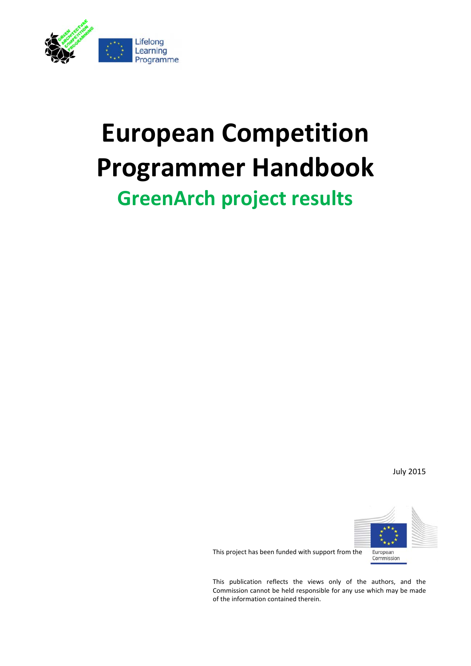

# **European Competition Programmer Handbook GreenArch project results**

July 2015



This project has been funded with support from the

This publication reflects the views only of the authors, and the Commission cannot be held responsible for any use which may be made of the information contained therein.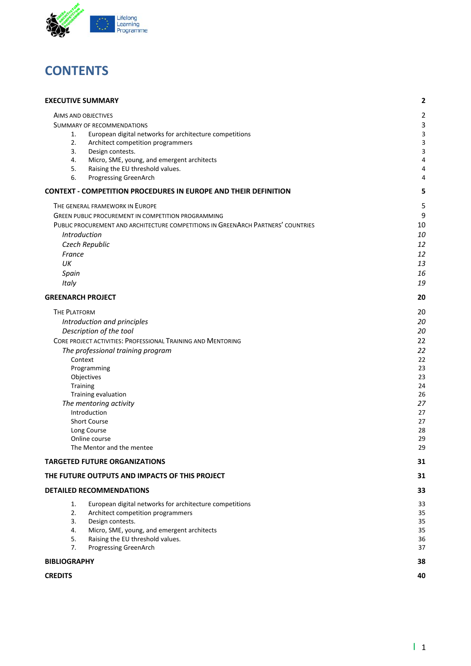

### **CONTENTS**

| <b>EXECUTIVE SUMMARY</b>                                                                        | $\mathbf{2}$ |
|-------------------------------------------------------------------------------------------------|--------------|
| AIMS AND OBJECTIVES                                                                             | 2            |
| <b>SUMMARY OF RECOMMENDATIONS</b>                                                               | 3            |
| European digital networks for architecture competitions<br>1.                                   | 3            |
| 2.<br>Architect competition programmers                                                         | 3            |
| 3.<br>Design contests.                                                                          | 3            |
| 4.<br>Micro, SME, young, and emergent architects                                                | 4            |
| 5.<br>Raising the EU threshold values.<br>6.                                                    | 4<br>4       |
| Progressing GreenArch<br><b>CONTEXT - COMPETITION PROCEDURES IN EUROPE AND THEIR DEFINITION</b> | 5            |
| THE GENERAL FRAMEWORK IN EUROPE                                                                 | 5            |
| <b>GREEN PUBLIC PROCUREMENT IN COMPETITION PROGRAMMING</b>                                      | 9            |
| PUBLIC PROCUREMENT AND ARCHITECTURE COMPETITIONS IN GREENARCH PARTNERS' COUNTRIES               | 10           |
| Introduction                                                                                    | 10           |
| Czech Republic                                                                                  | 12           |
| France                                                                                          | 12           |
| UK                                                                                              | 13           |
| Spain                                                                                           | 16           |
| Italy                                                                                           | 19           |
| <b>GREENARCH PROJECT</b>                                                                        | 20           |
| <b>THE PLATFORM</b>                                                                             | 20           |
| Introduction and principles                                                                     | 20           |
| Description of the tool                                                                         | 20           |
| CORE PROJECT ACTIVITIES: PROFESSIONAL TRAINING AND MENTORING                                    | 22           |
| The professional training program                                                               | 22           |
| Context                                                                                         | 22           |
| Programming                                                                                     | 23           |
| Objectives                                                                                      | 23           |
| Training                                                                                        | 24           |
| Training evaluation                                                                             | 26           |
| The mentoring activity                                                                          | 27           |
| Introduction                                                                                    | 27           |
| <b>Short Course</b><br>Long Course                                                              | 27<br>28     |
| Online course                                                                                   | 29           |
| The Mentor and the mentee                                                                       | 29           |
| <b>TARGETED FUTURE ORGANIZATIONS</b>                                                            | 31           |
| THE FUTURE OUTPUTS AND IMPACTS OF THIS PROJECT                                                  | 31           |
| <b>DETAILED RECOMMENDATIONS</b>                                                                 | 33           |
| European digital networks for architecture competitions<br>1.                                   | 33           |
| 2.<br>Architect competition programmers                                                         | 35           |
| 3.<br>Design contests.                                                                          | 35           |
| 4.<br>Micro, SME, young, and emergent architects                                                | 35           |
| 5.<br>Raising the EU threshold values.<br>7.                                                    | 36<br>37     |
| Progressing GreenArch                                                                           |              |
| <b>BIBLIOGRAPHY</b>                                                                             | 38           |
| <b>CREDITS</b>                                                                                  | 40           |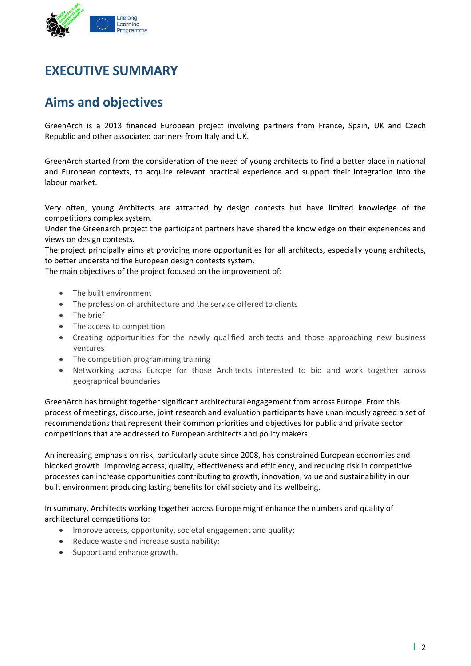

### **EXECUTIVE SUMMARY**

### **Aims and objectives**

GreenArch is a 2013 financed European project involving partners from France, Spain, UK and Czech Republic and other associated partners from Italy and UK.

GreenArch started from the consideration of the need of young architects to find a better place in national and European contexts, to acquire relevant practical experience and support their integration into the labour market.

Very often, young Architects are attracted by design contests but have limited knowledge of the competitions complex system.

Under the Greenarch project the participant partners have shared the knowledge on their experiences and views on design contests.

The project principally aims at providing more opportunities for all architects, especially young architects, to better understand the European design contests system.

The main objectives of the project focused on the improvement of:

- The built environment
- The profession of architecture and the service offered to clients
- The brief
- The access to competition
- Creating opportunities for the newly qualified architects and those approaching new business ventures
- The competition programming training
- Networking across Europe for those Architects interested to bid and work together across geographical boundaries

GreenArch has brought together significant architectural engagement from across Europe. From this process of meetings, discourse, joint research and evaluation participants have unanimously agreed a set of recommendations that represent their common priorities and objectives for public and private sector competitions that are addressed to European architects and policy makers.

An increasing emphasis on risk, particularly acute since 2008, has constrained European economies and blocked growth. Improving access, quality, effectiveness and efficiency, and reducing risk in competitive processes can increase opportunities contributing to growth, innovation, value and sustainability in our built environment producing lasting benefits for civil society and its wellbeing.

In summary, Architects working together across Europe might enhance the numbers and quality of architectural competitions to:

- Improve access, opportunity, societal engagement and quality;
- Reduce waste and increase sustainability;
- Support and enhance growth.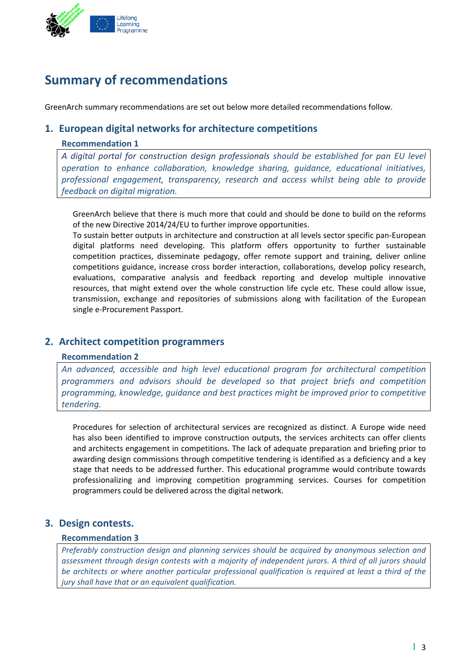

### **Summary of recommendations**

GreenArch summary recommendations are set out below more detailed recommendations follow.

#### **1. European digital networks for architecture competitions**

#### **Recommendation 1**

*A digital portal for construction design professionals should be established for pan EU level operation to enhance collaboration, knowledge sharing, guidance, educational initiatives, professional engagement, transparency, research and access whilst being able to provide feedback on digital migration.* 

GreenArch believe that there is much more that could and should be done to build on the reforms of the new Directive 2014/24/EU to further improve opportunities.

To sustain better outputs in architecture and construction at all levels sector specific pan‐European digital platforms need developing. This platform offers opportunity to further sustainable competition practices, disseminate pedagogy, offer remote support and training, deliver online competitions guidance, increase cross border interaction, collaborations, develop policy research, evaluations, comparative analysis and feedback reporting and develop multiple innovative resources, that might extend over the whole construction life cycle etc. These could allow issue, transmission, exchange and repositories of submissions along with facilitation of the European single e‐Procurement Passport.

#### **2. Architect competition programmers**

#### **Recommendation 2**

*An advanced, accessible and high level educational program for architectural competition programmers and advisors should be developed so that project briefs and competition programming, knowledge, guidance and best practices might be improved prior to competitive tendering.* 

Procedures for selection of architectural services are recognized as distinct. A Europe wide need has also been identified to improve construction outputs, the services architects can offer clients and architects engagement in competitions. The lack of adequate preparation and briefing prior to awarding design commissions through competitive tendering is identified as a deficiency and a key stage that needs to be addressed further. This educational programme would contribute towards professionalizing and improving competition programming services. Courses for competition programmers could be delivered across the digital network.

#### **3. Design contests.**

#### **Recommendation 3**

*Preferably construction design and planning services should be acquired by anonymous selection and assessment through design contests with a majority of independent jurors. A third of all jurors should be architects or where another particular professional qualification is required at least a third of the jury shall have that or an equivalent qualification.*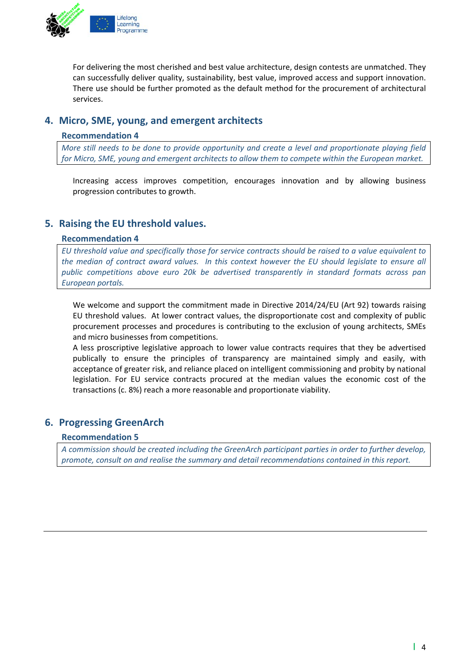

For delivering the most cherished and best value architecture, design contests are unmatched. They can successfully deliver quality, sustainability, best value, improved access and support innovation. There use should be further promoted as the default method for the procurement of architectural services.

#### **4. Micro, SME, young, and emergent architects**

#### **Recommendation 4**

*More still needs to be done to provide opportunity and create a level and proportionate playing field for Micro, SME, young and emergent architects to allow them to compete within the European market.* 

Increasing access improves competition, encourages innovation and by allowing business progression contributes to growth.

#### **5. Raising the EU threshold values.**

#### **Recommendation 4**

*EU threshold value and specifically those for service contracts should be raised to a value equivalent to* the median of contract award values. In this context however the EU should legislate to ensure all *public competitions above euro 20k be advertised transparently in standard formats across pan European portals.*

We welcome and support the commitment made in Directive 2014/24/EU (Art 92) towards raising EU threshold values. At lower contract values, the disproportionate cost and complexity of public procurement processes and procedures is contributing to the exclusion of young architects, SMEs and micro businesses from competitions.

A less proscriptive legislative approach to lower value contracts requires that they be advertised publically to ensure the principles of transparency are maintained simply and easily, with acceptance of greater risk, and reliance placed on intelligent commissioning and probity by national legislation. For EU service contracts procured at the median values the economic cost of the transactions (c. 8%) reach a more reasonable and proportionate viability.

#### **6. Progressing GreenArch**

#### **Recommendation 5**

*A commission should be created including the GreenArch participant parties in order to further develop, promote, consult on and realise the summary and detail recommendations contained in this report.*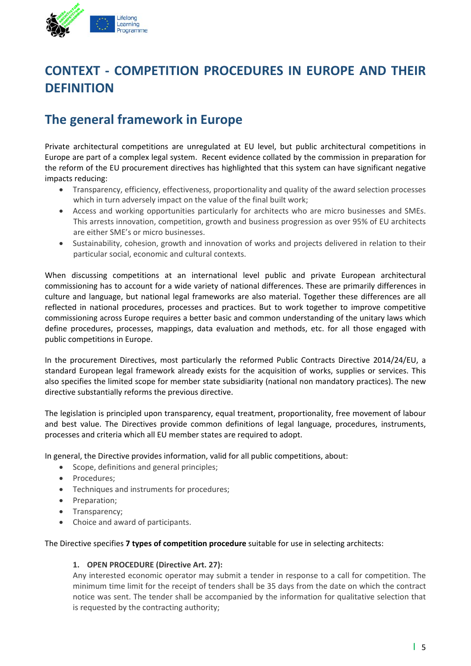

### **CONTEXT ‐ COMPETITION PROCEDURES IN EUROPE AND THEIR DEFINITION**

### **The general framework in Europe**

Private architectural competitions are unregulated at EU level, but public architectural competitions in Europe are part of a complex legal system. Recent evidence collated by the commission in preparation for the reform of the EU procurement directives has highlighted that this system can have significant negative impacts reducing:

- Transparency, efficiency, effectiveness, proportionality and quality of the award selection processes which in turn adversely impact on the value of the final built work;
- Access and working opportunities particularly for architects who are micro businesses and SMEs. This arrests innovation, competition, growth and business progression as over 95% of EU architects are either SME's or micro businesses.
- Sustainability, cohesion, growth and innovation of works and projects delivered in relation to their particular social, economic and cultural contexts.

When discussing competitions at an international level public and private European architectural commissioning has to account for a wide variety of national differences. These are primarily differences in culture and language, but national legal frameworks are also material. Together these differences are all reflected in national procedures, processes and practices. But to work together to improve competitive commissioning across Europe requires a better basic and common understanding of the unitary laws which define procedures, processes, mappings, data evaluation and methods, etc. for all those engaged with public competitions in Europe.

In the procurement Directives, most particularly the reformed Public Contracts Directive 2014/24/EU, a standard European legal framework already exists for the acquisition of works, supplies or services. This also specifies the limited scope for member state subsidiarity (national non mandatory practices). The new directive substantially reforms the previous directive.

The legislation is principled upon transparency, equal treatment, proportionality, free movement of labour and best value. The Directives provide common definitions of legal language, procedures, instruments, processes and criteria which all EU member states are required to adopt.

In general, the Directive provides information, valid for all public competitions, about:

- Scope, definitions and general principles;
- Procedures;
- Techniques and instruments for procedures;
- Preparation;
- Transparency;
- Choice and award of participants.

The Directive specifies **7 types of competition procedure** suitable for use in selecting architects:

#### **1. OPEN PROCEDURE (Directive Art. 27):**

Any interested economic operator may submit a tender in response to a call for competition. The minimum time limit for the receipt of tenders shall be 35 days from the date on which the contract notice was sent. The tender shall be accompanied by the information for qualitative selection that is requested by the contracting authority;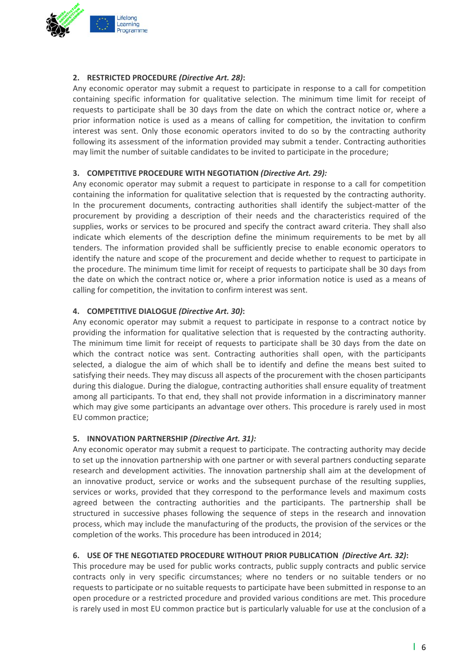

#### **2. RESTRICTED PROCEDURE** *(Directive Art. 28)***:**

Any economic operator may submit a request to participate in response to a call for competition containing specific information for qualitative selection. The minimum time limit for receipt of requests to participate shall be 30 days from the date on which the contract notice or, where a prior information notice is used as a means of calling for competition, the invitation to confirm interest was sent. Only those economic operators invited to do so by the contracting authority following its assessment of the information provided may submit a tender. Contracting authorities may limit the number of suitable candidates to be invited to participate in the procedure;

#### **3. COMPETITIVE PROCEDURE WITH NEGOTIATION** *(Directive Art. 29):*

Any economic operator may submit a request to participate in response to a call for competition containing the information for qualitative selection that is requested by the contracting authority. In the procurement documents, contracting authorities shall identify the subject-matter of the procurement by providing a description of their needs and the characteristics required of the supplies, works or services to be procured and specify the contract award criteria. They shall also indicate which elements of the description define the minimum requirements to be met by all tenders. The information provided shall be sufficiently precise to enable economic operators to identify the nature and scope of the procurement and decide whether to request to participate in the procedure. The minimum time limit for receipt of requests to participate shall be 30 days from the date on which the contract notice or, where a prior information notice is used as a means of calling for competition, the invitation to confirm interest was sent.

#### **4. COMPETITIVE DIALOGUE** *(Directive Art. 30)***:**

Any economic operator may submit a request to participate in response to a contract notice by providing the information for qualitative selection that is requested by the contracting authority. The minimum time limit for receipt of requests to participate shall be 30 days from the date on which the contract notice was sent. Contracting authorities shall open, with the participants selected, a dialogue the aim of which shall be to identify and define the means best suited to satisfying their needs. They may discuss all aspects of the procurement with the chosen participants during this dialogue. During the dialogue, contracting authorities shall ensure equality of treatment among all participants. To that end, they shall not provide information in a discriminatory manner which may give some participants an advantage over others. This procedure is rarely used in most EU common practice;

#### **5. INNOVATION PARTNERSHIP** *(Directive Art. 31):*

Any economic operator may submit a request to participate. The contracting authority may decide to set up the innovation partnership with one partner or with several partners conducting separate research and development activities. The innovation partnership shall aim at the development of an innovative product, service or works and the subsequent purchase of the resulting supplies, services or works, provided that they correspond to the performance levels and maximum costs agreed between the contracting authorities and the participants. The partnership shall be structured in successive phases following the sequence of steps in the research and innovation process, which may include the manufacturing of the products, the provision of the services or the completion of the works. This procedure has been introduced in 2014;

#### **6. USE OF THE NEGOTIATED PROCEDURE WITHOUT PRIOR PUBLICATION** *(Directive Art. 32)***:**

This procedure may be used for public works contracts, public supply contracts and public service contracts only in very specific circumstances; where no tenders or no suitable tenders or no requests to participate or no suitable requests to participate have been submitted in response to an open procedure or a restricted procedure and provided various conditions are met. This procedure is rarely used in most EU common practice but is particularly valuable for use at the conclusion of a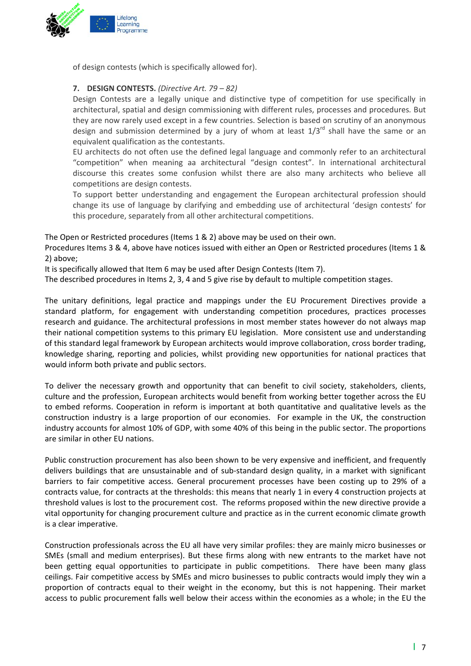

of design contests (which is specifically allowed for).

#### **7. DESIGN CONTESTS.** *(Directive Art. 79 – 82)*

Design Contests are a legally unique and distinctive type of competition for use specifically in architectural, spatial and design commissioning with different rules, processes and procedures*.* But they are now rarely used except in a few countries. Selection is based on scrutiny of an anonymous design and submission determined by a jury of whom at least  $1/3^{rd}$  shall have the same or an equivalent qualification as the contestants.

EU architects do not often use the defined legal language and commonly refer to an architectural "competition" when meaning aa architectural "design contest". In international architectural discourse this creates some confusion whilst there are also many architects who believe all competitions are design contests.

To support better understanding and engagement the European architectural profession should change its use of language by clarifying and embedding use of architectural 'design contests' for this procedure, separately from all other architectural competitions.

The Open or Restricted procedures (Items 1 & 2) above may be used on their own.

Procedures Items 3 & 4, above have notices issued with either an Open or Restricted procedures (Items 1 & 2) above;

It is specifically allowed that Item 6 may be used after Design Contests (Item 7).

The described procedures in Items 2, 3, 4 and 5 give rise by default to multiple competition stages.

The unitary definitions, legal practice and mappings under the EU Procurement Directives provide a standard platform, for engagement with understanding competition procedures, practices processes research and guidance. The architectural professions in most member states however do not always map their national competition systems to this primary EU legislation. More consistent use and understanding of this standard legal framework by European architects would improve collaboration, cross border trading, knowledge sharing, reporting and policies, whilst providing new opportunities for national practices that would inform both private and public sectors.

To deliver the necessary growth and opportunity that can benefit to civil society, stakeholders, clients, culture and the profession, European architects would benefit from working better together across the EU to embed reforms. Cooperation in reform is important at both quantitative and qualitative levels as the construction industry is a large proportion of our economies. For example in the UK, the construction industry accounts for almost 10% of GDP, with some 40% of this being in the public sector. The proportions are similar in other EU nations.

Public construction procurement has also been shown to be very expensive and inefficient, and frequently delivers buildings that are unsustainable and of sub-standard design quality, in a market with significant barriers to fair competitive access. General procurement processes have been costing up to 29% of a contracts value, for contracts at the thresholds: this means that nearly 1 in every 4 construction projects at threshold values is lost to the procurement cost. The reforms proposed within the new directive provide a vital opportunity for changing procurement culture and practice as in the current economic climate growth is a clear imperative.

Construction professionals across the EU all have very similar profiles: they are mainly micro businesses or SMEs (small and medium enterprises). But these firms along with new entrants to the market have not been getting equal opportunities to participate in public competitions. There have been many glass ceilings. Fair competitive access by SMEs and micro businesses to public contracts would imply they win a proportion of contracts equal to their weight in the economy, but this is not happening. Their market access to public procurement falls well below their access within the economies as a whole; in the EU the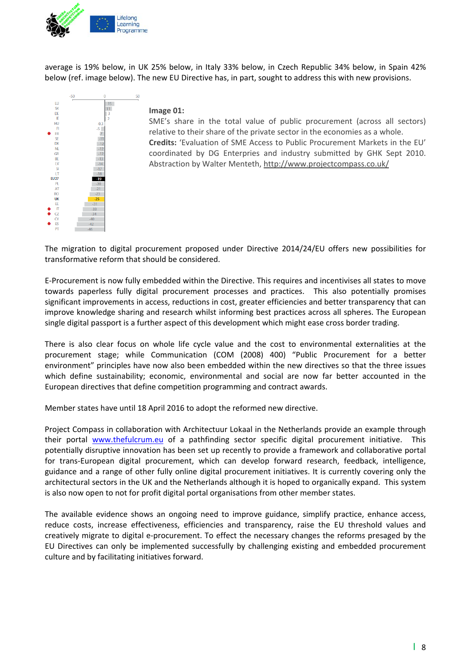

average is 19% below, in UK 25% below, in Italy 33% below, in Czech Republic 34% below, in Spain 42% below (ref. image below). The new EU Directive has, in part, sought to address this with new provisions.



#### **Image 01:**

50

SME's share in the total value of public procurement (across all sectors) relative to their share of the private sector in the economies as a whole. **Credits:** 'Evaluation of SME Access to Public Procurement Markets in the EU' coordinated by DG Enterpries and industry submitted by GHK Sept 2010. Abstraction by Walter Menteth, http://www.projectcompass.co.uk/

The migration to digital procurement proposed under Directive 2014/24/EU offers new possibilities for transformative reform that should be considered.

E‐Procurement is now fully embedded within the Directive. This requires and incentivises all states to move towards paperless fully digital procurement processes and practices. This also potentially promises significant improvements in access, reductions in cost, greater efficiencies and better transparency that can improve knowledge sharing and research whilst informing best practices across all spheres. The European single digital passport is a further aspect of this development which might ease cross border trading.

There is also clear focus on whole life cycle value and the cost to environmental externalities at the procurement stage; while Communication (COM (2008) 400) "Public Procurement for a better environment" principles have now also been embedded within the new directives so that the three issues which define sustainability; economic, environmental and social are now far better accounted in the European directives that define competition programming and contract awards.

Member states have until 18 April 2016 to adopt the reformed new directive.

Project Compass in collaboration with Architectuur Lokaal in the Netherlands provide an example through their portal www.thefulcrum.eu of a pathfinding sector specific digital procurement initiative. This potentially disruptive innovation has been set up recently to provide a framework and collaborative portal for trans-European digital procurement, which can develop forward research, feedback, intelligence, guidance and a range of other fully online digital procurement initiatives. It is currently covering only the architectural sectors in the UK and the Netherlands although it is hoped to organically expand. This system is also now open to not for profit digital portal organisations from other member states.

The available evidence shows an ongoing need to improve guidance, simplify practice, enhance access, reduce costs, increase effectiveness, efficiencies and transparency, raise the EU threshold values and creatively migrate to digital e‐procurement. To effect the necessary changes the reforms presaged by the EU Directives can only be implemented successfully by challenging existing and embedded procurement culture and by facilitating initiatives forward.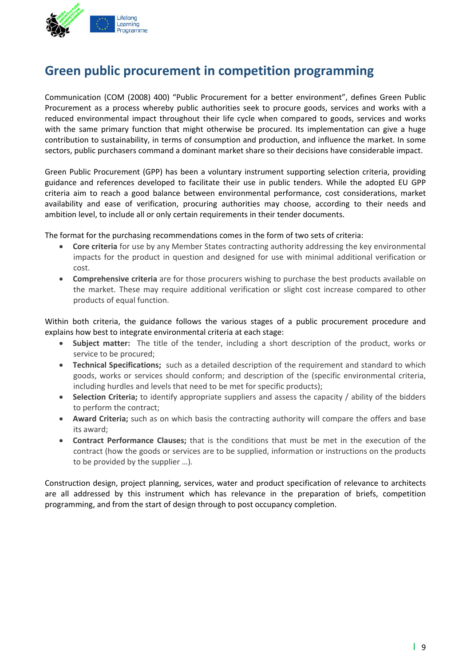

### **Green public procurement in competition programming**

Communication (COM (2008) 400) "Public Procurement for a better environment", defines Green Public Procurement as a process whereby public authorities seek to procure goods, services and works with a reduced environmental impact throughout their life cycle when compared to goods, services and works with the same primary function that might otherwise be procured. Its implementation can give a huge contribution to sustainability, in terms of consumption and production, and influence the market. In some sectors, public purchasers command a dominant market share so their decisions have considerable impact.

Green Public Procurement (GPP) has been a voluntary instrument supporting selection criteria, providing guidance and references developed to facilitate their use in public tenders. While the adopted EU GPP criteria aim to reach a good balance between environmental performance, cost considerations, market availability and ease of verification, procuring authorities may choose, according to their needs and ambition level, to include all or only certain requirements in their tender documents.

The format for the purchasing recommendations comes in the form of two sets of criteria:

- **Core criteria** for use by any Member States contracting authority addressing the key environmental impacts for the product in question and designed for use with minimal additional verification or cost.
- **Comprehensive criteria** are for those procurers wishing to purchase the best products available on the market. These may require additional verification or slight cost increase compared to other products of equal function.

Within both criteria, the guidance follows the various stages of a public procurement procedure and explains how best to integrate environmental criteria at each stage:

- **Subject matter:** The title of the tender, including a short description of the product, works or service to be procured;
- **Technical Specifications;** such as a detailed description of the requirement and standard to which goods, works or services should conform; and description of the (specific environmental criteria, including hurdles and levels that need to be met for specific products);
- **Selection Criteria;** to identify appropriate suppliers and assess the capacity / ability of the bidders to perform the contract;
- **Award Criteria;** such as on which basis the contracting authority will compare the offers and base its award;
- **Contract Performance Clauses;** that is the conditions that must be met in the execution of the contract (how the goods or services are to be supplied, information or instructions on the products to be provided by the supplier …).

Construction design, project planning, services, water and product specification of relevance to architects are all addressed by this instrument which has relevance in the preparation of briefs, competition programming, and from the start of design through to post occupancy completion.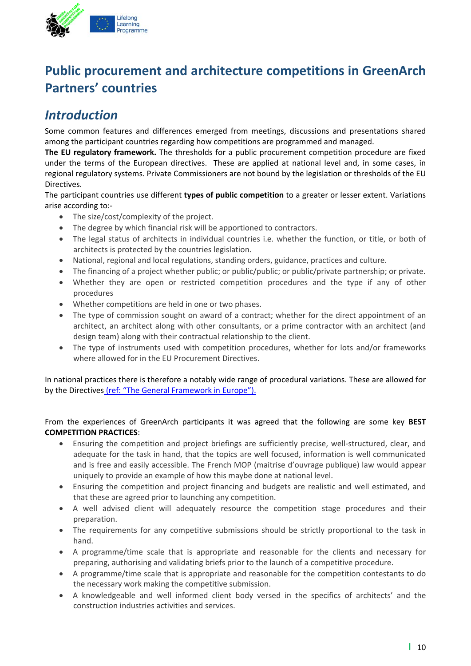

### **Public procurement and architecture competitions in GreenArch Partners' countries**

### *Introduction*

Some common features and differences emerged from meetings, discussions and presentations shared among the participant countries regarding how competitions are programmed and managed.

**The EU regulatory framework.** The thresholds for a public procurement competition procedure are fixed under the terms of the European directives. These are applied at national level and, in some cases, in regional regulatory systems. Private Commissioners are not bound by the legislation or thresholds of the EU Directives.

The participant countries use different **types of public competition** to a greater or lesser extent. Variations arise according to:‐

- The size/cost/complexity of the project.
- The degree by which financial risk will be apportioned to contractors.
- The legal status of architects in individual countries i.e. whether the function, or title, or both of architects is protected by the countries legislation.
- National, regional and local regulations, standing orders, guidance, practices and culture.
- The financing of a project whether public; or public/public; or public/private partnership; or private.
- Whether they are open or restricted competition procedures and the type if any of other procedures
- Whether competitions are held in one or two phases.
- The type of commission sought on award of a contract; whether for the direct appointment of an architect, an architect along with other consultants, or a prime contractor with an architect (and design team) along with their contractual relationship to the client.
- The type of instruments used with competition procedures, whether for lots and/or frameworks where allowed for in the EU Procurement Directives.

In national practices there is therefore a notably wide range of procedural variations. These are allowed for by the Directives (ref: "The General Framework in Europe").

#### From the experiences of GreenArch participants it was agreed that the following are some key **BEST COMPETITION PRACTICES**:

- Ensuring the competition and project briefings are sufficiently precise, well-structured, clear, and adequate for the task in hand, that the topics are well focused, information is well communicated and is free and easily accessible. The French MOP (maitrise d'ouvrage publique) law would appear uniquely to provide an example of how this maybe done at national level.
- Ensuring the competition and project financing and budgets are realistic and well estimated, and that these are agreed prior to launching any competition.
- A well advised client will adequately resource the competition stage procedures and their preparation.
- The requirements for any competitive submissions should be strictly proportional to the task in hand.
- A programme/time scale that is appropriate and reasonable for the clients and necessary for preparing, authorising and validating briefs prior to the launch of a competitive procedure.
- A programme/time scale that is appropriate and reasonable for the competition contestants to do the necessary work making the competitive submission.
- A knowledgeable and well informed client body versed in the specifics of architects' and the construction industries activities and services.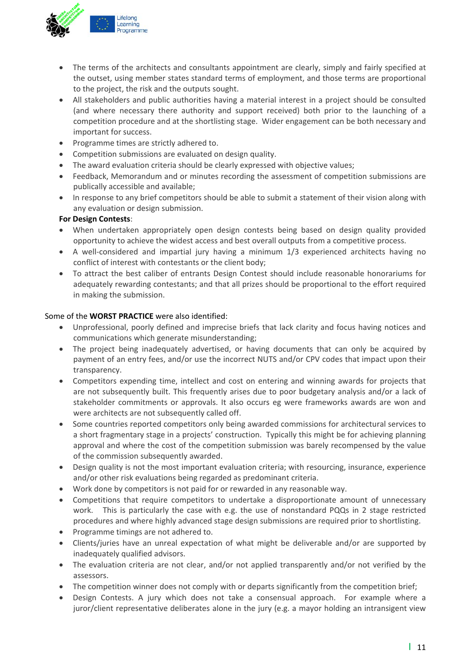

- The terms of the architects and consultants appointment are clearly, simply and fairly specified at the outset, using member states standard terms of employment, and those terms are proportional to the project, the risk and the outputs sought.
- All stakeholders and public authorities having a material interest in a project should be consulted (and where necessary there authority and support received) both prior to the launching of a competition procedure and at the shortlisting stage. Wider engagement can be both necessary and important for success.
- Programme times are strictly adhered to.
- Competition submissions are evaluated on design quality.
- The award evaluation criteria should be clearly expressed with objective values;
- Feedback, Memorandum and or minutes recording the assessment of competition submissions are publically accessible and available;
- In response to any brief competitors should be able to submit a statement of their vision along with any evaluation or design submission.

#### **For Design Contests**:

- When undertaken appropriately open design contests being based on design quality provided opportunity to achieve the widest access and best overall outputs from a competitive process.
- A well‐considered and impartial jury having a minimum 1/3 experienced architects having no conflict of interest with contestants or the client body;
- To attract the best caliber of entrants Design Contest should include reasonable honorariums for adequately rewarding contestants; and that all prizes should be proportional to the effort required in making the submission.

#### Some of the **WORST PRACTICE** were also identified:

- Unprofessional, poorly defined and imprecise briefs that lack clarity and focus having notices and communications which generate misunderstanding;
- The project being inadequately advertised, or having documents that can only be acquired by payment of an entry fees, and/or use the incorrect NUTS and/or CPV codes that impact upon their transparency.
- Competitors expending time, intellect and cost on entering and winning awards for projects that are not subsequently built. This frequently arises due to poor budgetary analysis and/or a lack of stakeholder commitments or approvals. It also occurs eg were frameworks awards are won and were architects are not subsequently called off.
- Some countries reported competitors only being awarded commissions for architectural services to a short fragmentary stage in a projects' construction. Typically this might be for achieving planning approval and where the cost of the competition submission was barely recompensed by the value of the commission subsequently awarded.
- Design quality is not the most important evaluation criteria; with resourcing, insurance, experience and/or other risk evaluations being regarded as predominant criteria.
- Work done by competitors is not paid for or rewarded in any reasonable way.
- Competitions that require competitors to undertake a disproportionate amount of unnecessary work. This is particularly the case with e.g. the use of nonstandard PQQs in 2 stage restricted procedures and where highly advanced stage design submissions are required prior to shortlisting.
- Programme timings are not adhered to.
- Clients/juries have an unreal expectation of what might be deliverable and/or are supported by inadequately qualified advisors.
- The evaluation criteria are not clear, and/or not applied transparently and/or not verified by the assessors.
- The competition winner does not comply with or departs significantly from the competition brief;
- Design Contests. A jury which does not take a consensual approach. For example where a juror/client representative deliberates alone in the jury (e.g. a mayor holding an intransigent view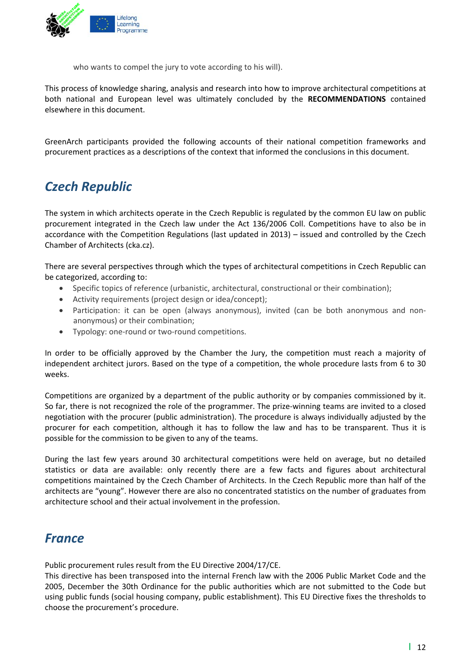

who wants to compel the jury to vote according to his will).

This process of knowledge sharing, analysis and research into how to improve architectural competitions at both national and European level was ultimately concluded by the **RECOMMENDATIONS** contained elsewhere in this document.

GreenArch participants provided the following accounts of their national competition frameworks and procurement practices as a descriptions of the context that informed the conclusions in this document.

### *Czech Republic*

The system in which architects operate in the Czech Republic is regulated by the common EU law on public procurement integrated in the Czech law under the Act 136/2006 Coll. Competitions have to also be in accordance with the Competition Regulations (last updated in 2013) – issued and controlled by the Czech Chamber of Architects (cka.cz).

There are several perspectives through which the types of architectural competitions in Czech Republic can be categorized, according to:

- Specific topics of reference (urbanistic, architectural, constructional or their combination);
- Activity requirements (project design or idea/concept);
- Participation: it can be open (always anonymous), invited (can be both anonymous and non‐ anonymous) or their combination;
- Typology: one‐round or two‐round competitions.

In order to be officially approved by the Chamber the Jury, the competition must reach a majority of independent architect jurors. Based on the type of a competition, the whole procedure lasts from 6 to 30 weeks.

Competitions are organized by a department of the public authority or by companies commissioned by it. So far, there is not recognized the role of the programmer. The prize-winning teams are invited to a closed negotiation with the procurer (public administration). The procedure is always individually adjusted by the procurer for each competition, although it has to follow the law and has to be transparent. Thus it is possible for the commission to be given to any of the teams.

During the last few years around 30 architectural competitions were held on average, but no detailed statistics or data are available: only recently there are a few facts and figures about architectural competitions maintained by the Czech Chamber of Architects. In the Czech Republic more than half of the architects are "young". However there are also no concentrated statistics on the number of graduates from architecture school and their actual involvement in the profession.

### *France*

Public procurement rules result from the EU Directive 2004/17/CE.

This directive has been transposed into the internal French law with the 2006 Public Market Code and the 2005, December the 30th Ordinance for the public authorities which are not submitted to the Code but using public funds (social housing company, public establishment). This EU Directive fixes the thresholds to choose the procurement's procedure.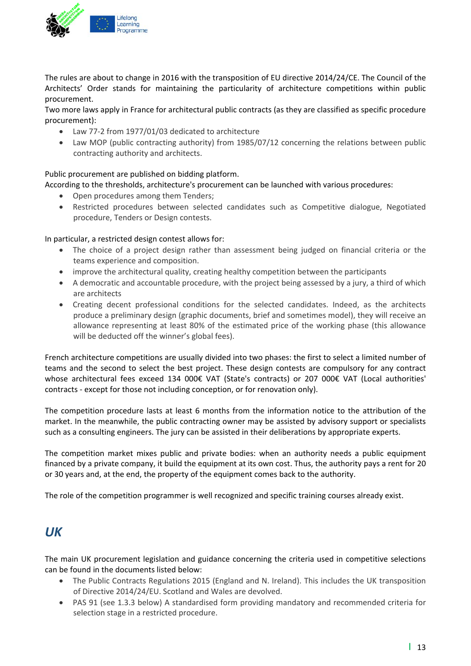

The rules are about to change in 2016 with the transposition of EU directive 2014/24/CE. The Council of the Architects' Order stands for maintaining the particularity of architecture competitions within public procurement.

Two more laws apply in France for architectural public contracts (as they are classified as specific procedure procurement):

- Law 77‐2 from 1977/01/03 dedicated to architecture
- Law MOP (public contracting authority) from 1985/07/12 concerning the relations between public contracting authority and architects.

#### Public procurement are published on bidding platform.

According to the thresholds, architecture's procurement can be launched with various procedures:

- Open procedures among them Tenders;
- Restricted procedures between selected candidates such as Competitive dialogue, Negotiated procedure, Tenders or Design contests.

#### In particular, a restricted design contest allows for:

- The choice of a project design rather than assessment being judged on financial criteria or the teams experience and composition.
- improve the architectural quality, creating healthy competition between the participants
- A democratic and accountable procedure, with the project being assessed by a jury, a third of which are architects
- Creating decent professional conditions for the selected candidates. Indeed, as the architects produce a preliminary design (graphic documents, brief and sometimes model), they will receive an allowance representing at least 80% of the estimated price of the working phase (this allowance will be deducted off the winner's global fees).

French architecture competitions are usually divided into two phases: the first to select a limited number of teams and the second to select the best project. These design contests are compulsory for any contract whose architectural fees exceed 134 000€ VAT (State's contracts) or 207 000€ VAT (Local authorities' contracts ‐ except for those not including conception, or for renovation only).

The competition procedure lasts at least 6 months from the information notice to the attribution of the market. In the meanwhile, the public contracting owner may be assisted by advisory support or specialists such as a consulting engineers. The jury can be assisted in their deliberations by appropriate experts.

The competition market mixes public and private bodies: when an authority needs a public equipment financed by a private company, it build the equipment at its own cost. Thus, the authority pays a rent for 20 or 30 years and, at the end, the property of the equipment comes back to the authority.

The role of the competition programmer is well recognized and specific training courses already exist.

### *UK*

The main UK procurement legislation and guidance concerning the criteria used in competitive selections can be found in the documents listed below:

- The Public Contracts Regulations 2015 (England and N. Ireland). This includes the UK transposition of Directive 2014/24/EU. Scotland and Wales are devolved.
- PAS 91 (see 1.3.3 below) A standardised form providing mandatory and recommended criteria for selection stage in a restricted procedure.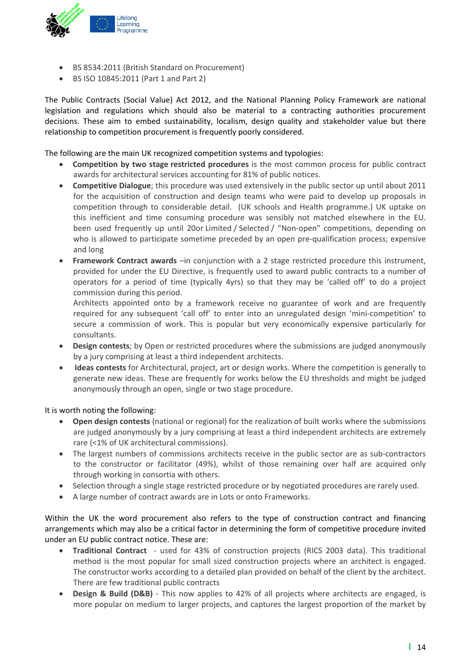

- BS 8534:2011 (British Standard on Procurement)
- BS ISO 10845:2011 (Part 1 and Part 2)

The Public Contracts (Social Value) Act 2012, and the National Planning Policy Framework are national legislation and regulations which should also be material to a contracting authorities procurement decisions. These aim to embed sustainability, localism, design quality and stakeholder value but there relationship to competition procurement is frequently poorly considered.

The following are the main UK recognized competition systems and typologies:

- **Competition by two stage restricted procedures** is the most common process for public contract awards for architectural services accounting for 81% of public notices.
- **Competitive Dialogue**; this procedure was used extensively in the public sector up until about 2011 for the acquisition of construction and design teams who were paid to develop up proposals in competition through to considerable detail. (UK schools and Health programme.) UK uptake on this inefficient and time consuming procedure was sensibly not matched elsewhere in the EU. been used frequently up until 20or Limited / Selected / "Non-open" competitions, depending on who is allowed to participate sometime preceded by an open pre-qualification process; expensive and long
- **Framework Contract awards** –in conjunction with a 2 stage restricted procedure this instrument, provided for under the EU Directive, is frequently used to award public contracts to a number of operators for a period of time (typically 4yrs) so that they may be 'called off' to do a project commission during this period.

Architects appointed onto by a framework receive no guarantee of work and are frequently required for any subsequent 'call off' to enter into an unregulated design 'mini‐competition' to secure a commission of work. This is popular but very economically expensive particularly for consultants.

- **Design contests**; by Open or restricted procedures where the submissions are judged anonymously by a jury comprising at least a third independent architects.
- **Ideas contests** for Architectural, project, art or design works. Where the competition is generally to generate new ideas. These are frequently for works below the EU thresholds and might be judged anonymously through an open, single or two stage procedure.

#### It is worth noting the following:

- **Open design contests** (national or regional) for the realization of built works where the submissions are judged anonymously by a jury comprising at least a third independent architects are extremely rare (<1% of UK architectural commissions).
- The largest numbers of commissions architects receive in the public sector are as sub‐contractors to the constructor or facilitator (49%), whilst of those remaining over half are acquired only through working in consortia with others.
- Selection through a single stage restricted procedure or by negotiated procedures are rarely used.
- A large number of contract awards are in Lots or onto Frameworks.

Within the UK the word procurement also refers to the type of construction contract and financing arrangements which may also be a critical factor in determining the form of competitive procedure invited under an EU public contract notice. These are:

- **Traditional Contract** ‐ used for 43% of construction projects (RICS 2003 data). This traditional method is the most popular for small sized construction projects where an architect is engaged. The constructor works according to a detailed plan provided on behalf of the client by the architect. There are few traditional public contracts
- **Design & Build (D&B)** ‐ This now applies to 42% of all projects where architects are engaged, is more popular on medium to larger projects, and captures the largest proportion of the market by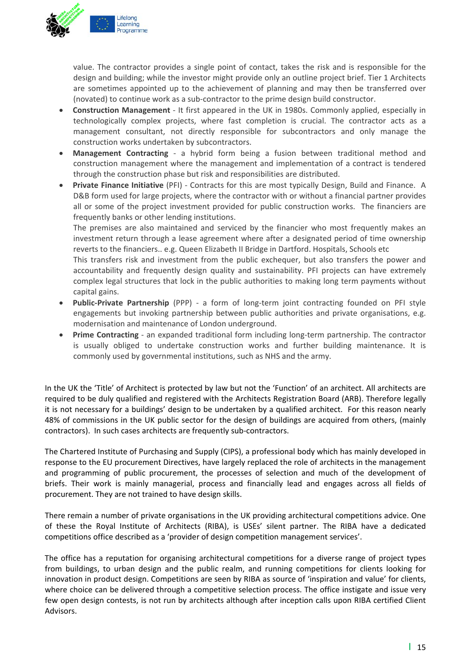

value. The contractor provides a single point of contact, takes the risk and is responsible for the design and building; while the investor might provide only an outline project brief. Tier 1 Architects are sometimes appointed up to the achievement of planning and may then be transferred over (novated) to continue work as a sub‐contractor to the prime design build constructor.

- **Construction Management** ‐ It first appeared in the UK in 1980s. Commonly applied, especially in technologically complex projects, where fast completion is crucial. The contractor acts as a management consultant, not directly responsible for subcontractors and only manage the construction works undertaken by subcontractors.
- **Management Contracting** ‐ a hybrid form being a fusion between traditional method and construction management where the management and implementation of a contract is tendered through the construction phase but risk and responsibilities are distributed.
- **Private Finance Initiative** (PFI) ‐ Contracts for this are most typically Design, Build and Finance. A D&B form used for large projects, where the contractor with or without a financial partner provides all or some of the project investment provided for public construction works. The financiers are frequently banks or other lending institutions.

The premises are also maintained and serviced by the financier who most frequently makes an investment return through a lease agreement where after a designated period of time ownership reverts to the financiers.. e.g. Queen Elizabeth II Bridge in Dartford. Hospitals, Schools etc

This transfers risk and investment from the public exchequer, but also transfers the power and accountability and frequently design quality and sustainability. PFI projects can have extremely complex legal structures that lock in the public authorities to making long term payments without capital gains.

- **Public‐Private Partnership** (PPP) ‐ a form of long‐term joint contracting founded on PFI style engagements but invoking partnership between public authorities and private organisations, e.g. modernisation and maintenance of London underground.
- **Prime Contracting** an expanded traditional form including long-term partnership. The contractor is usually obliged to undertake construction works and further building maintenance. It is commonly used by governmental institutions, such as NHS and the army.

In the UK the 'Title' of Architect is protected by law but not the 'Function' of an architect. All architects are required to be duly qualified and registered with the Architects Registration Board (ARB). Therefore legally it is not necessary for a buildings' design to be undertaken by a qualified architect. For this reason nearly 48% of commissions in the UK public sector for the design of buildings are acquired from others, (mainly contractors). In such cases architects are frequently sub‐contractors.

The Chartered Institute of Purchasing and Supply (CIPS), a professional body which has mainly developed in response to the EU procurement Directives, have largely replaced the role of architects in the management and programming of public procurement, the processes of selection and much of the development of briefs. Their work is mainly managerial, process and financially lead and engages across all fields of procurement. They are not trained to have design skills.

There remain a number of private organisations in the UK providing architectural competitions advice. One of these the Royal Institute of Architects (RIBA), is USEs' silent partner. The RIBA have a dedicated competitions office described as a 'provider of design competition management services'.

The office has a reputation for organising architectural competitions for a diverse range of project types from buildings, to urban design and the public realm, and running competitions for clients looking for innovation in product design. Competitions are seen by RIBA as source of 'inspiration and value' for clients, where choice can be delivered through a competitive selection process. The office instigate and issue very few open design contests, is not run by architects although after inception calls upon RIBA certified Client Advisors.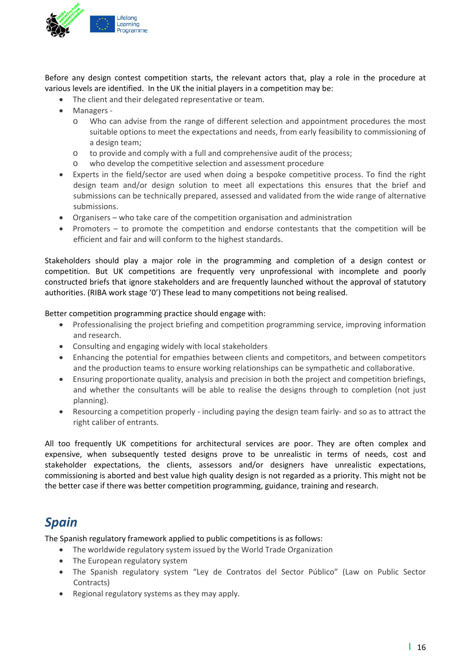

Before any design contest competition starts, the relevant actors that, play a role in the procedure at various levels are identified. In the UK the initial players in a competition may be:

- The client and their delegated representative or team.
- Managers
	- o Who can advise from the range of different selection and appointment procedures the most suitable options to meet the expectations and needs, from early feasibility to commissioning of a design team;
	- o to provide and comply with a full and comprehensive audit of the process;
	- o who develop the competitive selection and assessment procedure
- Experts in the field/sector are used when doing a bespoke competitive process. To find the right design team and/or design solution to meet all expectations this ensures that the brief and submissions can be technically prepared, assessed and validated from the wide range of alternative submissions.
- Organisers who take care of the competition organisation and administration
- Promoters to promote the competition and endorse contestants that the competition will be efficient and fair and will conform to the highest standards.

Stakeholders should play a major role in the programming and completion of a design contest or competition. But UK competitions are frequently very unprofessional with incomplete and poorly constructed briefs that ignore stakeholders and are frequently launched without the approval of statutory authorities. (RIBA work stage '0') These lead to many competitions not being realised.

Better competition programming practice should engage with:

- Professionalising the project briefing and competition programming service, improving information and research.
- Consulting and engaging widely with local stakeholders
- Enhancing the potential for empathies between clients and competitors, and between competitors and the production teams to ensure working relationships can be sympathetic and collaborative.
- Ensuring proportionate quality, analysis and precision in both the project and competition briefings, and whether the consultants will be able to realise the designs through to completion (not just planning).
- Resourcing a competition properly ‐ including paying the design team fairly‐ and so as to attract the right caliber of entrants.

All too frequently UK competitions for architectural services are poor. They are often complex and expensive, when subsequently tested designs prove to be unrealistic in terms of needs, cost and stakeholder expectations, the clients, assessors and/or designers have unrealistic expectations, commissioning is aborted and best value high quality design is not regarded as a priority. This might not be the better case if there was better competition programming, guidance, training and research.

### *Spain*

The Spanish regulatory framework applied to public competitions is as follows:

- The worldwide regulatory system issued by the World Trade Organization
- The European regulatory system
- The Spanish regulatory system "Ley de Contratos del Sector Público" (Law on Public Sector Contracts)
- Regional regulatory systems as they may apply.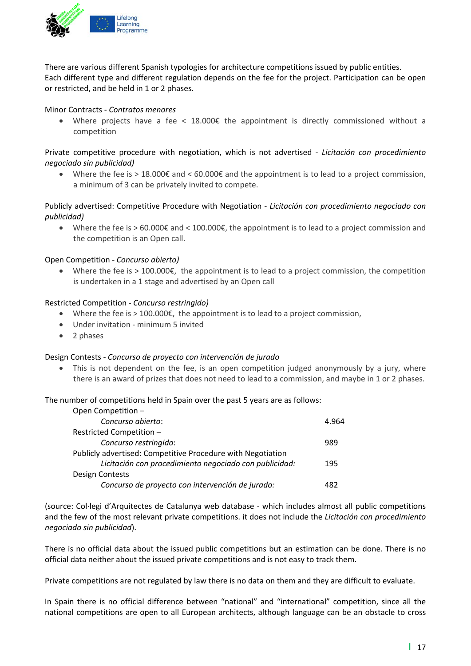

There are various different Spanish typologies for architecture competitions issued by public entities. Each different type and different regulation depends on the fee for the project. Participation can be open or restricted, and be held in 1 or 2 phases.

#### Minor Contracts ‐ *Contratos menores*

• Where projects have a fee < 18.000 $\epsilon$  the appointment is directly commissioned without a competition

#### Private competitive procedure with negotiation, which is not advertised ‐ *Licitación con procedimiento negociado sin publicidad)*

 Where the fee is > 18.000€ and < 60.000€ and the appointment is to lead to a project commission, a minimum of 3 can be privately invited to compete.

#### Publicly advertised: Competitive Procedure with Negotiation *‐ Licitación con procedimiento negociado con publicidad)*

Where the fee is  $> 60.000 \epsilon$  and  $< 100.000 \epsilon$ , the appointment is to lead to a project commission and the competition is an Open call.

#### Open Competition *‐ Concurso abierto)*

• Where the fee is  $> 100.000 \epsilon$ , the appointment is to lead to a project commission, the competition is undertaken in a 1 stage and advertised by an Open call

#### Restricted Competition *‐ Concurso restringido)*

- Where the fee is > 100.000 $\epsilon$ , the appointment is to lead to a project commission,
- Under invitation minimum 5 invited
- 2 phases

#### Design Contests *‐ Concurso de proyecto con intervención de jurado*

 This is not dependent on the fee, is an open competition judged anonymously by a jury, where there is an award of prizes that does not need to lead to a commission, and maybe in 1 or 2 phases.

The number of competitions held in Spain over the past 5 years are as follows:

| Open Competition -                                          |       |
|-------------------------------------------------------------|-------|
| Concurso abierto:                                           | 4.964 |
| Restricted Competition -                                    |       |
| Concurso restringido:                                       | 989   |
| Publicly advertised: Competitive Procedure with Negotiation |       |
| Licitación con procedimiento negociado con publicidad:      | 195   |
| Design Contests                                             |       |
| Concurso de proyecto con intervención de jurado:            | 482   |

(source: Col∙legi d'Arquitectes de Catalunya web database ‐ which includes almost all public competitions and the few of the most relevant private competitions. it does not include the *Licitación con procedimiento negociado sin publicidad*).

There is no official data about the issued public competitions but an estimation can be done. There is no official data neither about the issued private competitions and is not easy to track them.

Private competitions are not regulated by law there is no data on them and they are difficult to evaluate.

In Spain there is no official difference between "national" and "international" competition, since all the national competitions are open to all European architects, although language can be an obstacle to cross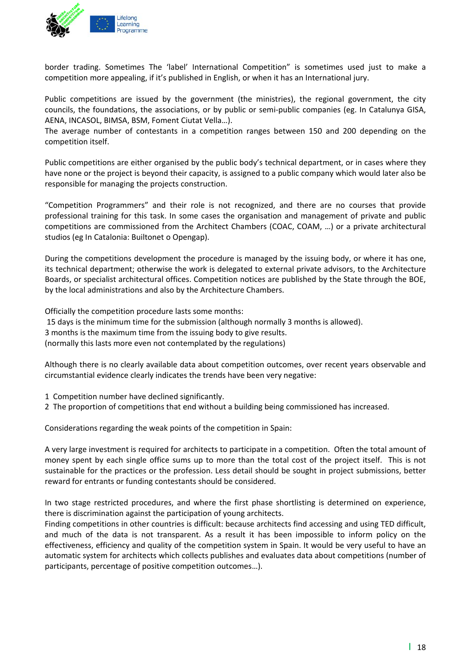

border trading. Sometimes The 'label' International Competition" is sometimes used just to make a competition more appealing, if it's published in English, or when it has an International jury.

Public competitions are issued by the government (the ministries), the regional government, the city councils, the foundations, the associations, or by public or semi‐public companies (eg. In Catalunya GISA, AENA, INCASOL, BIMSA, BSM, Foment Ciutat Vella…).

The average number of contestants in a competition ranges between 150 and 200 depending on the competition itself.

Public competitions are either organised by the public body's technical department, or in cases where they have none or the project is beyond their capacity, is assigned to a public company which would later also be responsible for managing the projects construction.

"Competition Programmers" and their role is not recognized, and there are no courses that provide professional training for this task. In some cases the organisation and management of private and public competitions are commissioned from the Architect Chambers (COAC, COAM, …) or a private architectural studios (eg In Catalonia: Builtonet o Opengap).

During the competitions development the procedure is managed by the issuing body, or where it has one, its technical department; otherwise the work is delegated to external private advisors, to the Architecture Boards, or specialist architectural offices. Competition notices are published by the State through the BOE, by the local administrations and also by the Architecture Chambers.

Officially the competition procedure lasts some months:

15 days is the minimum time for the submission (although normally 3 months is allowed).

3 months is the maximum time from the issuing body to give results.

(normally this lasts more even not contemplated by the regulations)

Although there is no clearly available data about competition outcomes, over recent years observable and circumstantial evidence clearly indicates the trends have been very negative:

- 1 Competition number have declined significantly.
- 2 The proportion of competitions that end without a building being commissioned has increased.

Considerations regarding the weak points of the competition in Spain:

A very large investment is required for architects to participate in a competition. Often the total amount of money spent by each single office sums up to more than the total cost of the project itself. This is not sustainable for the practices or the profession. Less detail should be sought in project submissions, better reward for entrants or funding contestants should be considered.

In two stage restricted procedures, and where the first phase shortlisting is determined on experience, there is discrimination against the participation of young architects.

Finding competitions in other countries is difficult: because architects find accessing and using TED difficult, and much of the data is not transparent. As a result it has been impossible to inform policy on the effectiveness, efficiency and quality of the competition system in Spain. It would be very useful to have an automatic system for architects which collects publishes and evaluates data about competitions (number of participants, percentage of positive competition outcomes…).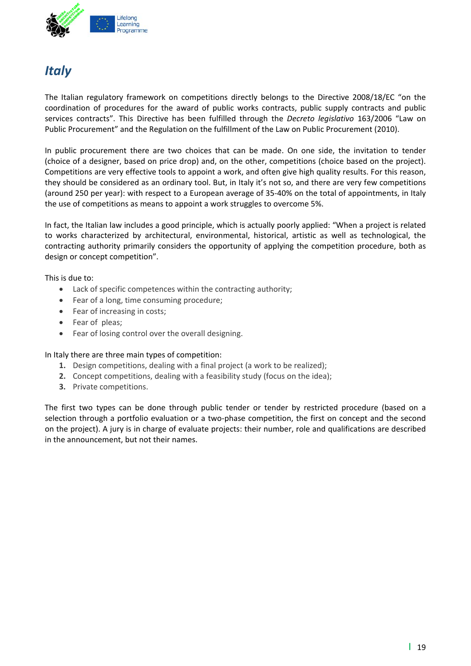

### *Italy*

The Italian regulatory framework on competitions directly belongs to the Directive 2008/18/EC "on the coordination of procedures for the award of public works contracts, public supply contracts and public services contracts". This Directive has been fulfilled through the *Decreto legislativo* 163/2006 "Law on Public Procurement" and the Regulation on the fulfillment of the Law on Public Procurement (2010).

In public procurement there are two choices that can be made. On one side, the invitation to tender (choice of a designer, based on price drop) and, on the other, competitions (choice based on the project). Competitions are very effective tools to appoint a work, and often give high quality results. For this reason, they should be considered as an ordinary tool. But, in Italy it's not so, and there are very few competitions (around 250 per year): with respect to a European average of 35‐40% on the total of appointments, in Italy the use of competitions as means to appoint a work struggles to overcome 5%.

In fact, the Italian law includes a good principle, which is actually poorly applied: "When a project is related to works characterized by architectural, environmental, historical, artistic as well as technological, the contracting authority primarily considers the opportunity of applying the competition procedure, both as design or concept competition".

This is due to:

- Lack of specific competences within the contracting authority;
- Fear of a long, time consuming procedure;
- Fear of increasing in costs;
- Fear of pleas;
- Fear of losing control over the overall designing.

In Italy there are three main types of competition:

- **1.** Design competitions, dealing with a final project (a work to be realized);
- **2.** Concept competitions, dealing with a feasibility study (focus on the idea);
- **3.** Private competitions.

The first two types can be done through public tender or tender by restricted procedure (based on a selection through a portfolio evaluation or a two-phase competition, the first on concept and the second on the project). A jury is in charge of evaluate projects: their number, role and qualifications are described in the announcement, but not their names.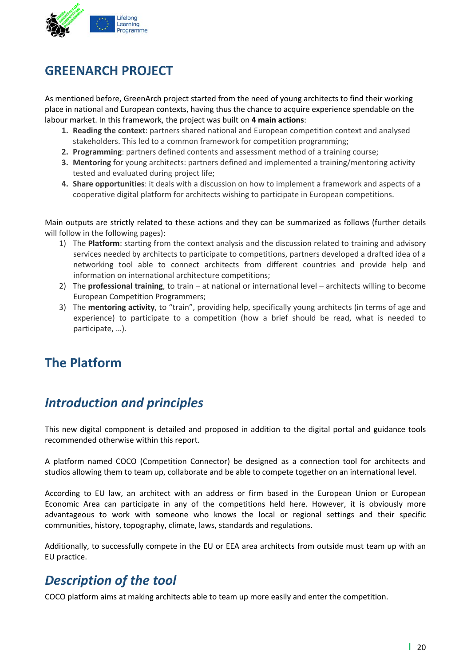

### **GREENARCH PROJECT**

As mentioned before, GreenArch project started from the need of young architects to find their working place in national and European contexts, having thus the chance to acquire experience spendable on the labour market. In this framework, the project was built on **4 main actions**:

- **1. Reading the context**: partners shared national and European competition context and analysed stakeholders. This led to a common framework for competition programming;
- **2. Programming**: partners defined contents and assessment method of a training course;
- **3. Mentoring** for young architects: partners defined and implemented a training/mentoring activity tested and evaluated during project life;
- **4. Share opportunities**: it deals with a discussion on how to implement a framework and aspects of a cooperative digital platform for architects wishing to participate in European competitions.

Main outputs are strictly related to these actions and they can be summarized as follows (further details will follow in the following pages):

- 1) The **Platform**: starting from the context analysis and the discussion related to training and advisory services needed by architects to participate to competitions, partners developed a drafted idea of a networking tool able to connect architects from different countries and provide help and information on international architecture competitions;
- 2) The **professional training**, to train at national or international level architects willing to become European Competition Programmers;
- 3) The **mentoring activity**, to "train", providing help, specifically young architects (in terms of age and experience) to participate to a competition (how a brief should be read, what is needed to participate, …).

### **The Platform**

### *Introduction and principles*

This new digital component is detailed and proposed in addition to the digital portal and guidance tools recommended otherwise within this report.

A platform named COCO (Competition Connector) be designed as a connection tool for architects and studios allowing them to team up, collaborate and be able to compete together on an international level.

According to EU law, an architect with an address or firm based in the European Union or European Economic Area can participate in any of the competitions held here. However, it is obviously more advantageous to work with someone who knows the local or regional settings and their specific communities, history, topography, climate, laws, standards and regulations.

Additionally, to successfully compete in the EU or EEA area architects from outside must team up with an EU practice.

### *Description of the tool*

COCO platform aims at making architects able to team up more easily and enter the competition.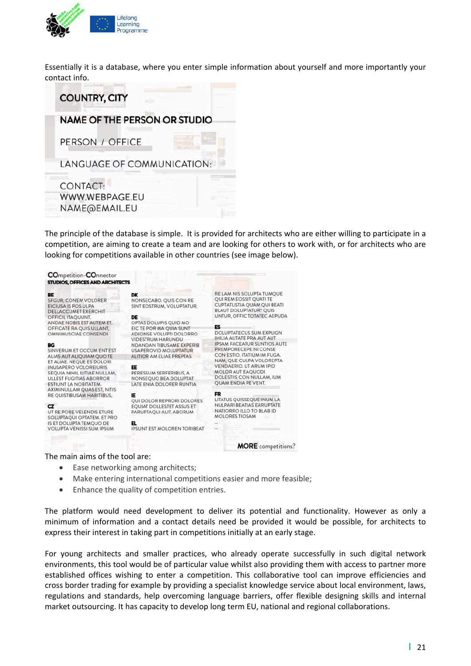

Essentially it is a database, where you enter simple information about yourself and more importantly your contact info.



The principle of the database is simple. It is provided for architects who are either willing to participate in a competition, are aiming to create a team and are looking for others to work with, or for architects who are looking for competitions available in other countries (see image below).



- Ease networking among architects;
- Make entering international competitions easier and more feasible;
- Enhance the quality of competition entries.

The platform would need development to deliver its potential and functionality. However as only a minimum of information and a contact details need be provided it would be possible, for architects to express their interest in taking part in competitions initially at an early stage.

For young architects and smaller practices, who already operate successfully in such digital network environments, this tool would be of particular value whilst also providing them with access to partner more established offices wishing to enter a competition. This collaborative tool can improve efficiencies and cross border trading for example by providing a specialist knowledge service about local environment, laws, regulations and standards, help overcoming language barriers, offer flexible designing skills and internal market outsourcing. It has capacity to develop long term EU, national and regional collaborations.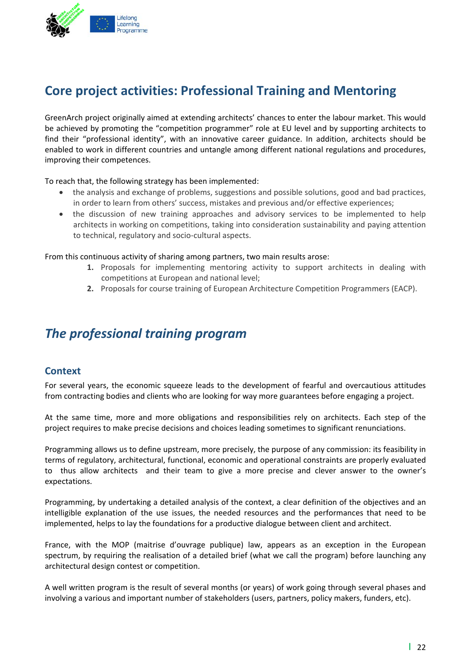

### **Core project activities: Professional Training and Mentoring**

GreenArch project originally aimed at extending architects' chances to enter the labour market. This would be achieved by promoting the "competition programmer" role at EU level and by supporting architects to find their "professional identity", with an innovative career guidance. In addition, architects should be enabled to work in different countries and untangle among different national regulations and procedures, improving their competences.

#### To reach that, the following strategy has been implemented:

- the analysis and exchange of problems, suggestions and possible solutions, good and bad practices, in order to learn from others' success, mistakes and previous and/or effective experiences;
- the discussion of new training approaches and advisory services to be implemented to help architects in working on competitions, taking into consideration sustainability and paying attention to technical, regulatory and socio‐cultural aspects.

#### From this continuous activity of sharing among partners, two main results arose:

- **1.** Proposals for implementing mentoring activity to support architects in dealing with competitions at European and national level;
- **2.** Proposals for course training of European Architecture Competition Programmers (EACP).

### *The professional training program*

#### **Context**

For several years, the economic squeeze leads to the development of fearful and overcautious attitudes from contracting bodies and clients who are looking for way more guarantees before engaging a project.

At the same time, more and more obligations and responsibilities rely on architects. Each step of the project requires to make precise decisions and choices leading sometimes to significant renunciations.

Programming allows us to define upstream, more precisely, the purpose of any commission: its feasibility in terms of regulatory, architectural, functional, economic and operational constraints are properly evaluated to thus allow architects and their team to give a more precise and clever answer to the owner's expectations.

Programming, by undertaking a detailed analysis of the context, a clear definition of the objectives and an intelligible explanation of the use issues, the needed resources and the performances that need to be implemented, helps to lay the foundations for a productive dialogue between client and architect.

France, with the MOP (maitrise d'ouvrage publique) law, appears as an exception in the European spectrum, by requiring the realisation of a detailed brief (what we call the program) before launching any architectural design contest or competition.

A well written program is the result of several months (or years) of work going through several phases and involving a various and important number of stakeholders (users, partners, policy makers, funders, etc).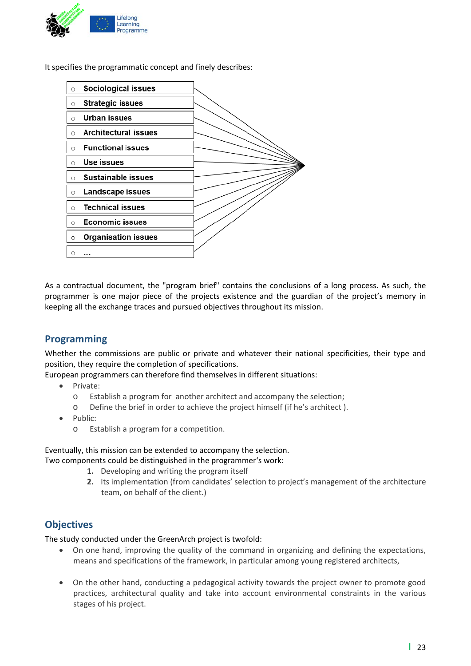

It specifies the programmatic concept and finely describes:



As a contractual document, the "program brief" contains the conclusions of a long process. As such, the programmer is one major piece of the projects existence and the guardian of the project's memory in keeping all the exchange traces and pursued objectives throughout its mission.

#### **Programming**

Whether the commissions are public or private and whatever their national specificities, their type and position, they require the completion of specifications.

European programmers can therefore find themselves in different situations:

- Private:
	- o Establish a program for another architect and accompany the selection;
	- o Define the brief in order to achieve the project himself (if he's architect ).
- Public:
	- o Establish a program for a competition.

Eventually, this mission can be extended to accompany the selection. Two components could be distinguished in the programmer's work:

- **1.** Developing and writing the program itself
- **2.** Its implementation (from candidates' selection to project's management of the architecture team, on behalf of the client.)

#### **Objectives**

The study conducted under the GreenArch project is twofold:

- On one hand, improving the quality of the command in organizing and defining the expectations, means and specifications of the framework, in particular among young registered architects,
- On the other hand, conducting a pedagogical activity towards the project owner to promote good practices, architectural quality and take into account environmental constraints in the various stages of his project.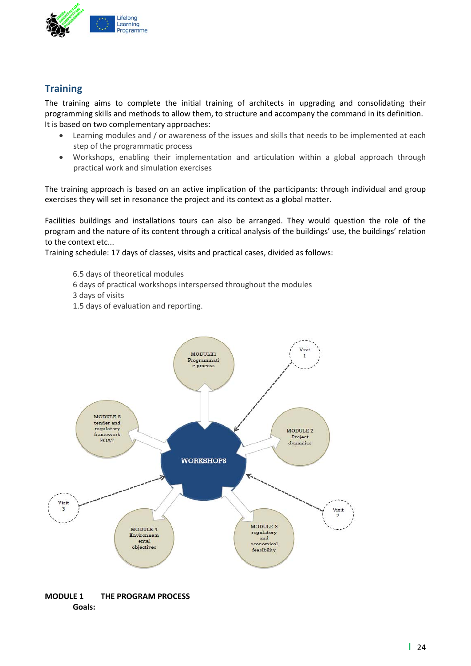

### **Training**

The training aims to complete the initial training of architects in upgrading and consolidating their programming skills and methods to allow them, to structure and accompany the command in its definition. It is based on two complementary approaches:

- Learning modules and / or awareness of the issues and skills that needs to be implemented at each step of the programmatic process
- Workshops, enabling their implementation and articulation within a global approach through practical work and simulation exercises

The training approach is based on an active implication of the participants: through individual and group exercises they will set in resonance the project and its context as a global matter.

Facilities buildings and installations tours can also be arranged. They would question the role of the program and the nature of its content through a critical analysis of the buildings' use, the buildings' relation to the context etc...

Training schedule: 17 days of classes, visits and practical cases, divided as follows:

6.5 days of theoretical modules 6 days of practical workshops interspersed throughout the modules 3 days of visits 1.5 days of evaluation and reporting.



**MODULE 1 THE PROGRAM PROCESS Goals:**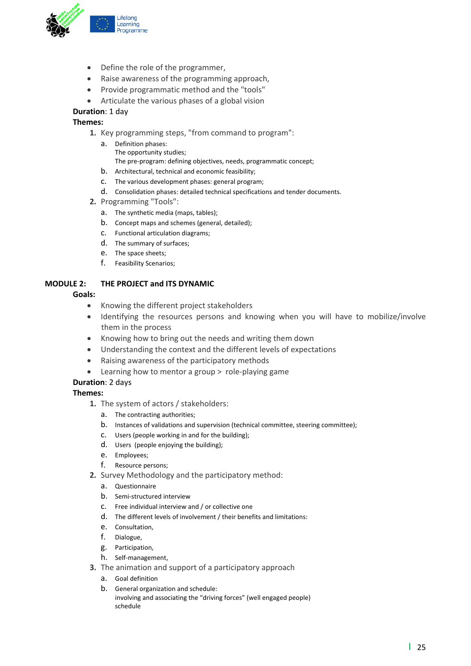

- Define the role of the programmer,
- Raise awareness of the programming approach,
- Provide programmatic method and the "tools"
- Articulate the various phases of a global vision

#### **Duration**: 1 day

#### **Themes:**

- **1.** Key programming steps, "from command to program":
	- a. Definition phases: The opportunity studies; The pre‐program: defining objectives, needs, programmatic concept;
	- b. Architectural, technical and economic feasibility;
	- c. The various development phases: general program;
	- d. Consolidation phases: detailed technical specifications and tender documents.
- **2.** Programming "Tools":
	- a. The synthetic media (maps, tables);
	- b. Concept maps and schemes (general, detailed);
	- c. Functional articulation diagrams;
	- d. The summary of surfaces;
	- e. The space sheets;
	- f. Feasibility Scenarios;

#### **MODULE 2: THE PROJECT and ITS DYNAMIC**

#### **Goals:**

- Knowing the different project stakeholders
- Identifying the resources persons and knowing when you will have to mobilize/involve them in the process
- Knowing how to bring out the needs and writing them down
- Understanding the context and the different levels of expectations
- Raising awareness of the participatory methods
- Learning how to mentor a group > role‐playing game

#### **Duration**: 2 days

#### **Themes:**

- **1.** The system of actors / stakeholders:
	- a. The contracting authorities;
	- b. Instances of validations and supervision (technical committee, steering committee);
	- c. Users (people working in and for the building);
	- d. Users (people enjoying the building);
	- e. Employees;
	- f. Resource persons;
- **2.** Survey Methodology and the participatory method:
	- a. Questionnaire
	- b. Semi‐structured interview
	- c. Free individual interview and / or collective one
	- d. The different levels of involvement / their benefits and limitations:
	- e. Consultation,
	- f. Dialogue,
	- g. Participation,
	- h. Self‐management,
- **3.** The animation and support of a participatory approach
	- a. Goal definition
	- b. General organization and schedule: involving and associating the "driving forces" (well engaged people) schedule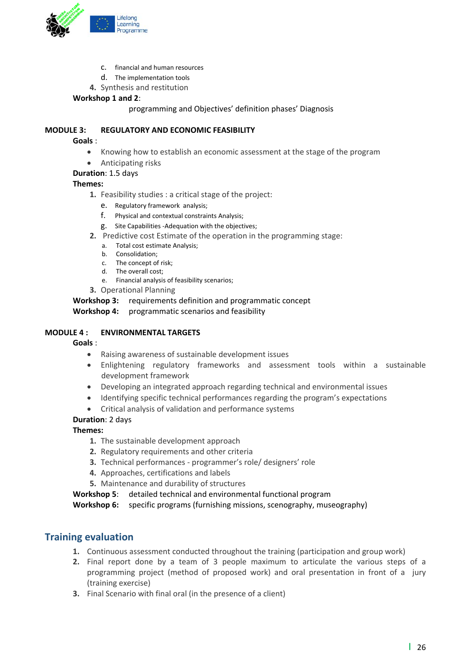

- c. financial and human resources
- d. The implementation tools
- **4.** Synthesis and restitution

#### **Workshop 1 and 2**:

programming and Objectives' definition phases' Diagnosis

#### **MODULE 3: REGULATORY AND ECONOMIC FEASIBILITY**

#### **Goals** :

- Knowing how to establish an economic assessment at the stage of the program
- Anticipating risks

#### **Duration**: 1.5 days

#### **Themes:**

- **1.** Feasibility studies : a critical stage of the project:
	- e. Regulatory framework analysis;
	- f. Physical and contextual constraints Analysis;
	- g. Site Capabilities ‐Adequation with the objectives;
- **2.** Predictive cost Estimate of the operation in the programming stage:
	- a. Total cost estimate Analysis;
	- b. Consolidation;
	- c. The concept of risk;
	- d. The overall cost;
	- e. Financial analysis of feasibility scenarios;
- **3.** Operational Planning

**Workshop 3:** requirements definition and programmatic concept

**Workshop 4:** programmatic scenarios and feasibility

#### **MODULE 4 : ENVIRONMENTAL TARGETS**

#### **Goals** :

- Raising awareness of sustainable development issues
- Enlightening regulatory frameworks and assessment tools within a sustainable development framework
- Developing an integrated approach regarding technical and environmental issues
- Identifying specific technical performances regarding the program's expectations
- Critical analysis of validation and performance systems

#### **Duration**: 2 days

#### **Themes:**

- **1.** The sustainable development approach
- **2.** Regulatory requirements and other criteria
- **3.** Technical performances ‐ programmer's role/ designers' role
- **4.** Approaches, certifications and labels
- **5.** Maintenance and durability of structures

**Workshop 5**: detailed technical and environmental functional program

**Workshop 6:** specific programs (furnishing missions, scenography, museography)

#### **Training evaluation**

- **1.** Continuous assessment conducted throughout the training (participation and group work)
- **2.** Final report done by a team of 3 people maximum to articulate the various steps of a programming project (method of proposed work) and oral presentation in front of a jury (training exercise)
- **3.** Final Scenario with final oral (in the presence of a client)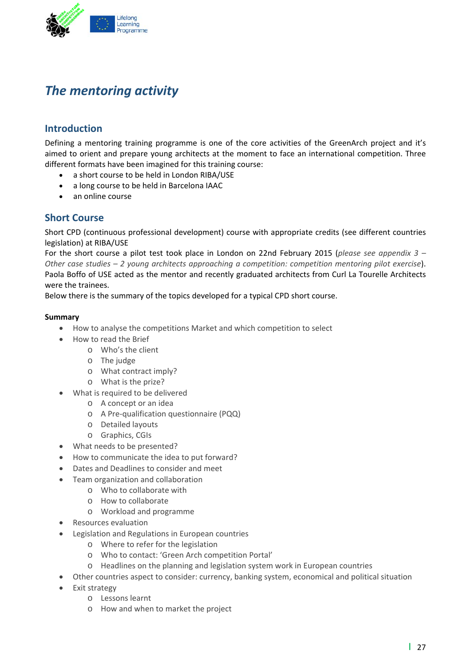

### *The mentoring activity*

#### **Introduction**

Defining a mentoring training programme is one of the core activities of the GreenArch project and it's aimed to orient and prepare young architects at the moment to face an international competition. Three different formats have been imagined for this training course:

- a short course to be held in London RIBA/USE
- a long course to be held in Barcelona IAAC
- an online course

#### **Short Course**

Short CPD (continuous professional development) course with appropriate credits (see different countries legislation) at RIBA/USE

For the short course a pilot test took place in London on 22nd February 2015 (*please see appendix 3 – Other case studies – 2 young architects approaching a competition: competition mentoring pilot exercise*). Paola Boffo of USE acted as the mentor and recently graduated architects from Curl La Tourelle Architects were the trainees.

Below there is the summary of the topics developed for a typical CPD short course.

#### **Summary**

- How to analyse the competitions Market and which competition to select
- How to read the Brief
	- o Who's the client
	- o The judge
	- o What contract imply?
	- o What is the prize?
- What is required to be delivered
	- o A concept or an idea
	- o A Pre‐qualification questionnaire (PQQ)
	- o Detailed layouts
	- o Graphics, CGIs
- What needs to be presented?
- How to communicate the idea to put forward?
- Dates and Deadlines to consider and meet
- Team organization and collaboration
	- o Who to collaborate with
	- o How to collaborate
	- o Workload and programme
- Resources evaluation
- Legislation and Regulations in European countries
	- o Where to refer for the legislation
	- o Who to contact: 'Green Arch competition Portal'
	- o Headlines on the planning and legislation system work in European countries
- Other countries aspect to consider: currency, banking system, economical and political situation
- Exit strategy
	- o Lessons learnt
	- o How and when to market the project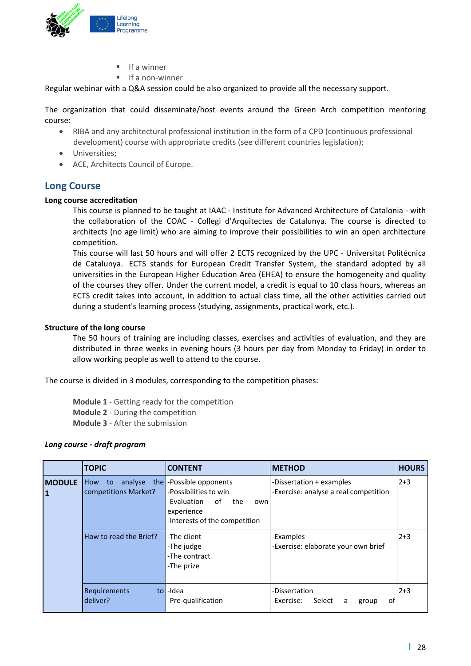

- If a winner
- If a non‐winner

Regular webinar with a Q&A session could be also organized to provide all the necessary support.

The organization that could disseminate/host events around the Green Arch competition mentoring course:

- RIBA and any architectural professional institution in the form of a CPD (continuous professional development) course with appropriate credits (see different countries legislation);
- Universities;
- ACE, Architects Council of Europe.

#### **Long Course**

#### **Long course accreditation**

This course is planned to be taught at IAAC ‐ Institute for Advanced Architecture of Catalonia ‐ with the collaboration of the COAC ‐ Collegi d'Arquitectes de Catalunya. The course is directed to architects (no age limit) who are aiming to improve their possibilities to win an open architecture competition.

This course will last 50 hours and will offer 2 ECTS recognized by the UPC ‐ Universitat Politécnica de Catalunya. ECTS stands for European Credit Transfer System, the standard adopted by all universities in the European Higher Education Area (EHEA) to ensure the homogeneity and quality of the courses they offer. Under the current model, a credit is equal to 10 class hours, whereas an ECTS credit takes into account, in addition to actual class time, all the other activities carried out during a student's learning process (studying, assignments, practical work, etc.).

#### **Structure of the long course**

The 50 hours of training are including classes, exercises and activities of evaluation, and they are distributed in three weeks in evening hours (3 hours per day from Monday to Friday) in order to allow working people as well to attend to the course.

The course is divided in 3 modules, corresponding to the competition phases:

**Module 1** ‐ Getting ready for the competition **Module 2** ‐ During the competition **Module 3** ‐ After the submission

#### *Long course ‐ draft program*

|                    | <b>TOPIC</b>                      | <b>CONTENT</b>                                                                                                                             | <b>METHOD</b>                                                     | <b>HOURS</b> |
|--------------------|-----------------------------------|--------------------------------------------------------------------------------------------------------------------------------------------|-------------------------------------------------------------------|--------------|
| <b>MODULE</b><br>1 | to<br>How<br>competitions Market? | analyse the -Possible opponents<br>-Possibilities to win<br>-Evaluation<br>of<br>the<br>own<br>experience<br>-Interests of the competition | -Dissertation + examples<br>-Exercise: analyse a real competition | $2+3$        |
|                    | How to read the Brief?            | -The client<br>-The judge<br>-The contract<br>-The prize                                                                                   | -Examples<br>-Exercise: elaborate your own brief                  | $2+3$        |
|                    | Requirements<br>deliver?          | to I-Idea<br>-Pre-qualification                                                                                                            | -Dissertation<br>-Exercise:<br>Select<br>οf<br>a<br>group         | $2 + 3$      |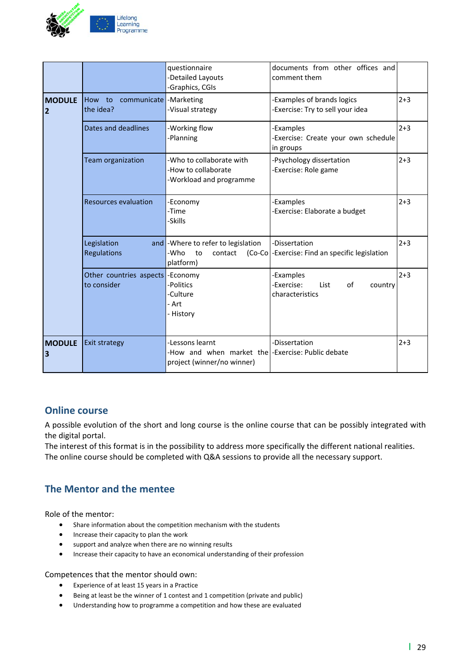

|                                 |                                                | questionnaire<br>-Detailed Layouts<br>-Graphics, CGIs                                  | documents from other offices and<br>comment them                    |         |
|---------------------------------|------------------------------------------------|----------------------------------------------------------------------------------------|---------------------------------------------------------------------|---------|
| <b>MODULE</b><br>$\overline{2}$ | communicate - Marketing<br>How to<br>the idea? | -Visual strategy                                                                       | <b>Examples of brands logics</b><br>Exercise: Try to sell your idea | $2 + 3$ |
| Legislation<br>Regulations      | Dates and deadlines                            | -Working flow<br>-Planning                                                             | -Examples<br>Exercise: Create your own schedule<br>in groups        | $2 + 3$ |
|                                 | Team organization                              | -Who to collaborate with<br>-How to collaborate<br>-Workload and programme             | -Psychology dissertation<br>Exercise: Role game                     | $2 + 3$ |
|                                 | <b>Resources evaluation</b>                    | -Economy<br>-Time<br>-Skills                                                           | -Examples<br>Exercise: Elaborate a budget                           | $2 + 3$ |
|                                 |                                                | and - Where to refer to legislation<br>-Who<br>to<br>contact<br>$(Co-Co)$<br>platform) | -Dissertation<br>-Exercise: Find an specific legislation            | $2 + 3$ |
|                                 | Other countries aspects<br>to consider         | -Economy<br>-Politics<br>-Culture<br>- Art<br>- History                                | Examples<br>Exercise:<br>of<br>List<br>country<br>characteristics   | $2 + 3$ |
| <b>MODULE</b><br>3              | <b>Exit strategy</b>                           | -Lessons learnt<br>-How and when market the<br>project (winner/no winner)              | -Dissertation<br>-Exercise: Public debate                           | $2 + 3$ |

#### **Online course**

A possible evolution of the short and long course is the online course that can be possibly integrated with the digital portal.

The interest of this format is in the possibility to address more specifically the different national realities. The online course should be completed with Q&A sessions to provide all the necessary support.

#### **The Mentor and the mentee**

Role of the mentor:

- Share information about the competition mechanism with the students
- **•** Increase their capacity to plan the work
- support and analyze when there are no winning results
- Increase their capacity to have an economical understanding of their profession

#### Competences that the mentor should own:

- Experience of at least 15 years in a Practice
- Being at least be the winner of 1 contest and 1 competition (private and public)
- Understanding how to programme a competition and how these are evaluated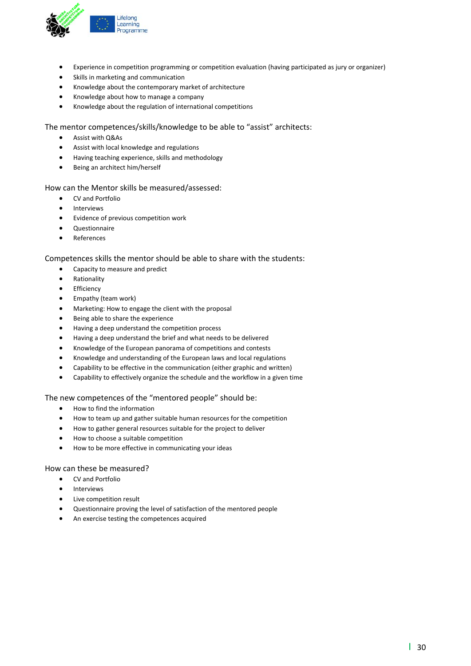

- Experience in competition programming or competition evaluation (having participated as jury or organizer)
- Skills in marketing and communication
- Knowledge about the contemporary market of architecture
- Knowledge about how to manage a company
- Knowledge about the regulation of international competitions

The mentor competences/skills/knowledge to be able to "assist" architects:

- Assist with Q&As
- Assist with local knowledge and regulations
- Having teaching experience, skills and methodology
- Being an architect him/herself

#### How can the Mentor skills be measured/assessed:

- CV and Portfolio
- Interviews
- Evidence of previous competition work
- Questionnaire
- References

#### Competences skills the mentor should be able to share with the students:

- Capacity to measure and predict
- Rationality
- **•** Efficiency
- Empathy (team work)
- Marketing: How to engage the client with the proposal
- **•** Being able to share the experience
- Having a deep understand the competition process
- Having a deep understand the brief and what needs to be delivered
- Knowledge of the European panorama of competitions and contests
- Knowledge and understanding of the European laws and local regulations
- Capability to be effective in the communication (either graphic and written)
- Capability to effectively organize the schedule and the workflow in a given time

#### The new competences of the "mentored people" should be:

- How to find the information
- How to team up and gather suitable human resources for the competition
- How to gather general resources suitable for the project to deliver
- How to choose a suitable competition
- How to be more effective in communicating your ideas

#### How can these be measured?

- CV and Portfolio
- Interviews
- Live competition result
- Questionnaire proving the level of satisfaction of the mentored people
- An exercise testing the competences acquired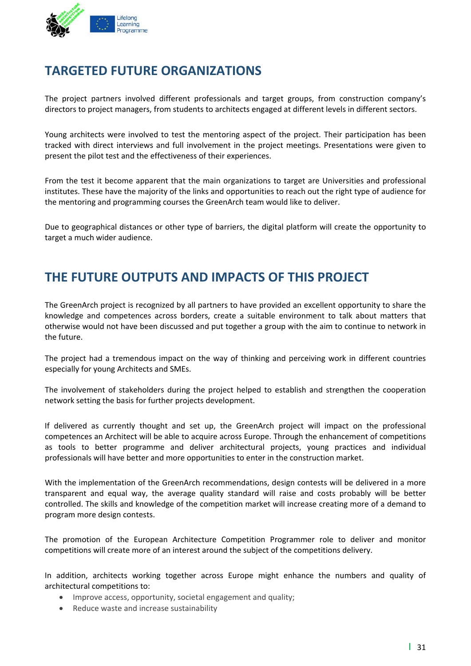

### **TARGETED FUTURE ORGANIZATIONS**

The project partners involved different professionals and target groups, from construction company's directors to project managers, from students to architects engaged at different levels in different sectors.

Young architects were involved to test the mentoring aspect of the project. Their participation has been tracked with direct interviews and full involvement in the project meetings. Presentations were given to present the pilot test and the effectiveness of their experiences.

From the test it become apparent that the main organizations to target are Universities and professional institutes. These have the majority of the links and opportunities to reach out the right type of audience for the mentoring and programming courses the GreenArch team would like to deliver.

Due to geographical distances or other type of barriers, the digital platform will create the opportunity to target a much wider audience.

### **THE FUTURE OUTPUTS AND IMPACTS OF THIS PROJECT**

The GreenArch project is recognized by all partners to have provided an excellent opportunity to share the knowledge and competences across borders, create a suitable environment to talk about matters that otherwise would not have been discussed and put together a group with the aim to continue to network in the future.

The project had a tremendous impact on the way of thinking and perceiving work in different countries especially for young Architects and SMEs.

The involvement of stakeholders during the project helped to establish and strengthen the cooperation network setting the basis for further projects development.

If delivered as currently thought and set up, the GreenArch project will impact on the professional competences an Architect will be able to acquire across Europe. Through the enhancement of competitions as tools to better programme and deliver architectural projects, young practices and individual professionals will have better and more opportunities to enter in the construction market.

With the implementation of the GreenArch recommendations, design contests will be delivered in a more transparent and equal way, the average quality standard will raise and costs probably will be better controlled. The skills and knowledge of the competition market will increase creating more of a demand to program more design contests.

The promotion of the European Architecture Competition Programmer role to deliver and monitor competitions will create more of an interest around the subject of the competitions delivery.

In addition, architects working together across Europe might enhance the numbers and quality of architectural competitions to:

- Improve access, opportunity, societal engagement and quality;
- Reduce waste and increase sustainability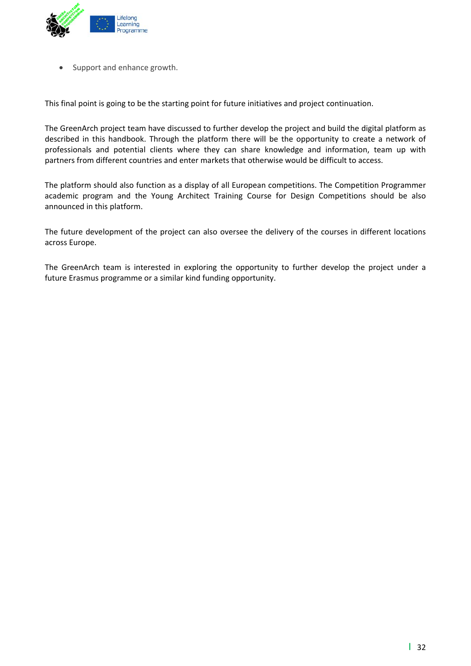

Support and enhance growth.

This final point is going to be the starting point for future initiatives and project continuation.

The GreenArch project team have discussed to further develop the project and build the digital platform as described in this handbook. Through the platform there will be the opportunity to create a network of professionals and potential clients where they can share knowledge and information, team up with partners from different countries and enter markets that otherwise would be difficult to access.

The platform should also function as a display of all European competitions. The Competition Programmer academic program and the Young Architect Training Course for Design Competitions should be also announced in this platform.

The future development of the project can also oversee the delivery of the courses in different locations across Europe.

The GreenArch team is interested in exploring the opportunity to further develop the project under a future Erasmus programme or a similar kind funding opportunity.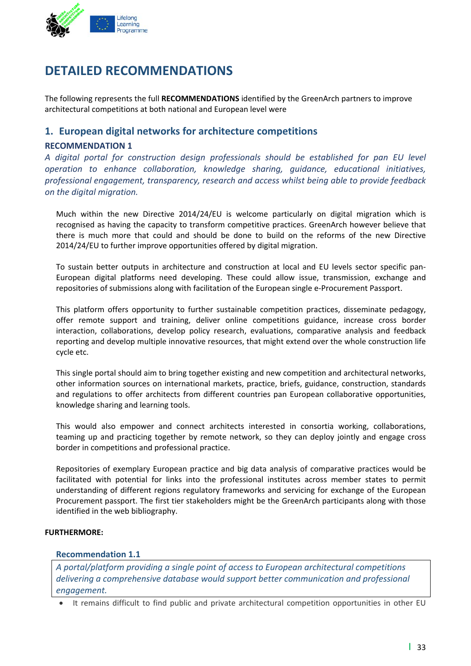

### **DETAILED RECOMMENDATIONS**

The following represents the full **RECOMMENDATIONS** identified by the GreenArch partners to improve architectural competitions at both national and European level were

#### **1. European digital networks for architecture competitions**

#### **RECOMMENDATION 1**

*A digital portal for construction design professionals should be established for pan EU level operation to enhance collaboration, knowledge sharing, guidance, educational initiatives, professional engagement, transparency, research and access whilst being able to provide feedback on the digital migration.* 

Much within the new Directive 2014/24/EU is welcome particularly on digital migration which is recognised as having the capacity to transform competitive practices. GreenArch however believe that there is much more that could and should be done to build on the reforms of the new Directive 2014/24/EU to further improve opportunities offered by digital migration.

To sustain better outputs in architecture and construction at local and EU levels sector specific pan‐ European digital platforms need developing. These could allow issue, transmission, exchange and repositories of submissions along with facilitation of the European single e‐Procurement Passport.

This platform offers opportunity to further sustainable competition practices, disseminate pedagogy, offer remote support and training, deliver online competitions guidance, increase cross border interaction, collaborations, develop policy research, evaluations, comparative analysis and feedback reporting and develop multiple innovative resources, that might extend over the whole construction life cycle etc.

This single portal should aim to bring together existing and new competition and architectural networks, other information sources on international markets, practice, briefs, guidance, construction, standards and regulations to offer architects from different countries pan European collaborative opportunities, knowledge sharing and learning tools.

This would also empower and connect architects interested in consortia working, collaborations, teaming up and practicing together by remote network, so they can deploy jointly and engage cross border in competitions and professional practice.

Repositories of exemplary European practice and big data analysis of comparative practices would be facilitated with potential for links into the professional institutes across member states to permit understanding of different regions regulatory frameworks and servicing for exchange of the European Procurement passport. The first tier stakeholders might be the GreenArch participants along with those identified in the web bibliography.

#### **FURTHERMORE:**

#### **Recommendation 1.1**

*A portal/platform providing a single point of access to European architectural competitions delivering a comprehensive database would support better communication and professional engagement.*

It remains difficult to find public and private architectural competition opportunities in other EU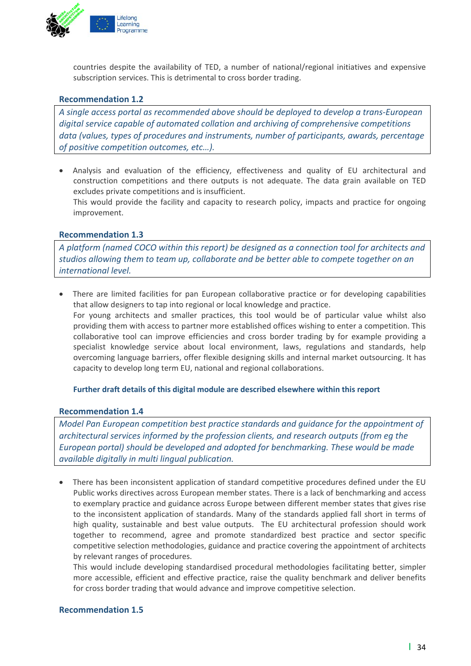

countries despite the availability of TED, a number of national/regional initiatives and expensive subscription services. This is detrimental to cross border trading.

#### **Recommendation 1.2**

*A single access portal as recommended above should be deployed to develop a trans‐European digital service capable of automated collation and archiving of comprehensive competitions data (values, types of procedures and instruments, number of participants, awards, percentage of positive competition outcomes, etc…).* 

 Analysis and evaluation of the efficiency, effectiveness and quality of EU architectural and construction competitions and there outputs is not adequate. The data grain available on TED excludes private competitions and is insufficient. This would provide the facility and capacity to research policy, impacts and practice for ongoing improvement.

#### **Recommendation 1.3**

*A platform (named COCO within this report) be designed as a connection tool for architects and studios allowing them to team up, collaborate and be better able to compete together on an international level.*

 There are limited facilities for pan European collaborative practice or for developing capabilities that allow designers to tap into regional or local knowledge and practice. For young architects and smaller practices, this tool would be of particular value whilst also providing them with access to partner more established offices wishing to enter a competition. This collaborative tool can improve efficiencies and cross border trading by for example providing a specialist knowledge service about local environment, laws, regulations and standards, help overcoming language barriers, offer flexible designing skills and internal market outsourcing. It has capacity to develop long term EU, national and regional collaborations.

#### **Further draft details of this digital module are described elsewhere within this report**

#### **Recommendation 1.4**

*Model Pan European competition best practice standards and guidance for the appointment of architectural services informed by the profession clients, and research outputs (from eg the European portal) should be developed and adopted for benchmarking. These would be made available digitally in multi lingual publication.*

 There has been inconsistent application of standard competitive procedures defined under the EU Public works directives across European member states. There is a lack of benchmarking and access to exemplary practice and guidance across Europe between different member states that gives rise to the inconsistent application of standards. Many of the standards applied fall short in terms of high quality, sustainable and best value outputs. The EU architectural profession should work together to recommend, agree and promote standardized best practice and sector specific competitive selection methodologies, guidance and practice covering the appointment of architects by relevant ranges of procedures.

This would include developing standardised procedural methodologies facilitating better, simpler more accessible, efficient and effective practice, raise the quality benchmark and deliver benefits for cross border trading that would advance and improve competitive selection.

#### **Recommendation 1.5**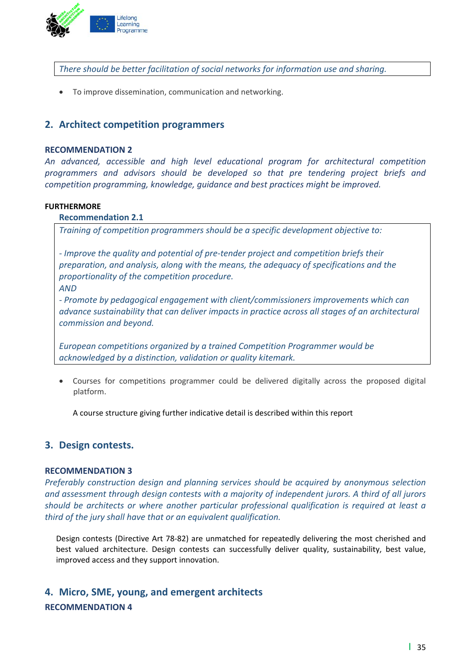

*There should be better facilitation of social networks for information use and sharing.*

To improve dissemination, communication and networking.

#### **2. Architect competition programmers**

#### **RECOMMENDATION 2**

*An advanced, accessible and high level educational program for architectural competition programmers and advisors should be developed so that pre tendering project briefs and competition programming, knowledge, guidance and best practices might be improved.* 

#### **FURTHERMORE**

#### **Recommendation 2.1**

*Training of competition programmers should be a specific development objective to:*

*‐ Improve the quality and potential of pre‐tender project and competition briefs their preparation, and analysis, along with the means, the adequacy of specifications and the proportionality of the competition procedure.* 

*AND*

*‐ Promote by pedagogical engagement with client/commissioners improvements which can advance sustainability that can deliver impacts in practice across all stages of an architectural commission and beyond.*

*European competitions organized by a trained Competition Programmer would be acknowledged by a distinction, validation or quality kitemark.*

 Courses for competitions programmer could be delivered digitally across the proposed digital platform.

A course structure giving further indicative detail is described within this report

#### **3. Design contests.**

#### **RECOMMENDATION 3**

*Preferably construction design and planning services should be acquired by anonymous selection and assessment through design contests with a majority of independent jurors. A third of all jurors should be architects or where another particular professional qualification is required at least a third of the jury shall have that or an equivalent qualification.*

Design contests (Directive Art 78‐82) are unmatched for repeatedly delivering the most cherished and best valued architecture. Design contests can successfully deliver quality, sustainability, best value, improved access and they support innovation.

### **4. Micro, SME, young, and emergent architects RECOMMENDATION 4**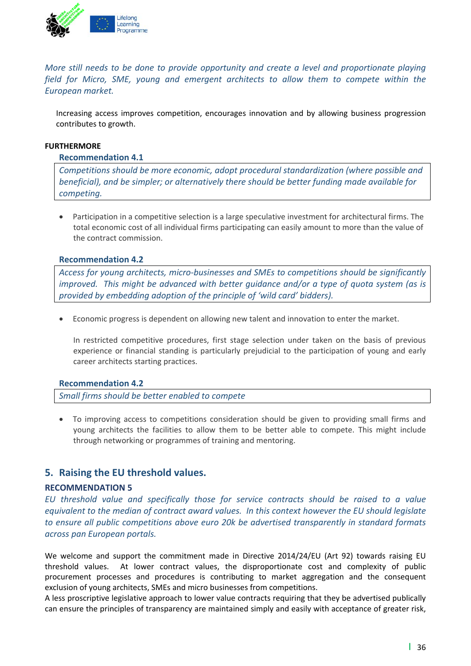

*More still needs to be done to provide opportunity and create a level and proportionate playing field for Micro, SME, young and emergent architects to allow them to compete within the European market.* 

Increasing access improves competition, encourages innovation and by allowing business progression contributes to growth.

#### **FURTHERMORE**

#### **Recommendation 4.1**

*Competitions should be more economic, adopt procedural standardization (where possible and beneficial), and be simpler; or alternatively there should be better funding made available for*  $competing.$ 

 Participation in a competitive selection is a large speculative investment for architectural firms. The total economic cost of all individual firms participating can easily amount to more than the value of the contract commission.

#### **Recommendation 4.2**

*Access for young architects, micro‐businesses and SMEs to competitions should be significantly improved. This might be advanced with better guidance and/or a type of quota system (as is provided by embedding adoption of the principle of 'wild card' bidders).* 

Economic progress is dependent on allowing new talent and innovation to enter the market.

In restricted competitive procedures, first stage selection under taken on the basis of previous experience or financial standing is particularly prejudicial to the participation of young and early career architects starting practices.

#### **Recommendation 4.2**

*Small firms should be better enabled to compete*

 To improving access to competitions consideration should be given to providing small firms and young architects the facilities to allow them to be better able to compete. This might include through networking or programmes of training and mentoring.

#### **5. Raising the EU threshold values.**

#### **RECOMMENDATION 5**

*EU threshold value and specifically those for service contracts should be raised to a value equivalent to the median of contract award values. In this context however the EU should legislate to ensure all public competitions above euro 20k be advertised transparently in standard formats across pan European portals.*

We welcome and support the commitment made in Directive 2014/24/EU (Art 92) towards raising EU threshold values. At lower contract values, the disproportionate cost and complexity of public procurement processes and procedures is contributing to market aggregation and the consequent exclusion of young architects, SMEs and micro businesses from competitions.

A less proscriptive legislative approach to lower value contracts requiring that they be advertised publically can ensure the principles of transparency are maintained simply and easily with acceptance of greater risk,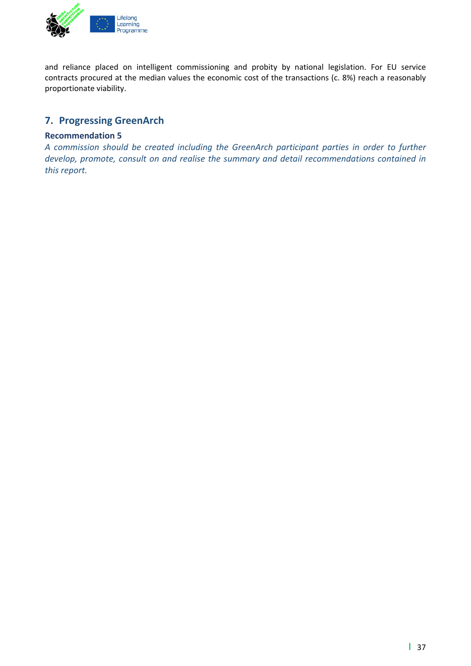

and reliance placed on intelligent commissioning and probity by national legislation. For EU service contracts procured at the median values the economic cost of the transactions (c. 8%) reach a reasonably proportionate viability.

#### **7. Progressing GreenArch**

#### **Recommendation 5**

*A commission should be created including the GreenArch participant parties in order to further develop, promote, consult on and realise the summary and detail recommendations contained in this report.*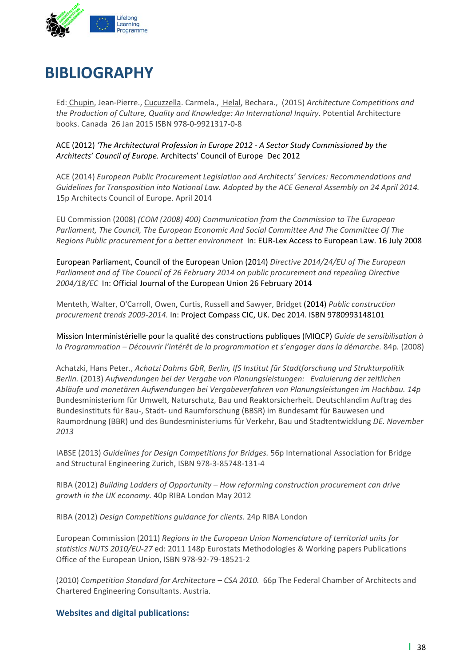

## **BIBLIOGRAPHY**

Ed: Chupin, Jean‐Pierre., Cucuzzella. Carmela., Helal, Bechara., (2015) *Architecture Competitions and the Production of Culture, Quality and Knowledge: An International Inquiry.* Potential Architecture books. Canada 26 Jan 2015 ISBN 978‐0‐9921317‐0‐8

ACE (2012) *'The Architectural Profession in Europe 2012 ‐ A Sector Study Commissioned by the Architects' Council of Europe.* Architects' Council of Europe Dec 2012

ACE (2014) *European Public Procurement Legislation and Architects' Services: Recommendations and Guidelines for Transposition into National Law. Adopted by the ACE General Assembly on 24 April 2014.* 15p Architects Council of Europe. April 2014

EU Commission (2008) *(COM (2008) 400) Communication from the Commission to The European Parliament, The Council, The European Economic And Social Committee And The Committee Of The Regions Public procurement for a better environment* In: EUR‐Lex Access to European Law. 16 July 2008

European Parliament, Council of the European Union (2014) *Directive 2014/24/EU of The European Parliament and of The Council of 26 February 2014 on public procurement and repealing Directive 2004/18/EC* In: Official Journal of the European Union 26 February 2014

Menteth, Walter, O'Carroll, Owen, Curtis, Russell and Sawyer, Bridget (2014) *Public construction procurement trends 2009‐2014.* In: Project Compass CIC, UK. Dec 2014. ISBN 9780993148101

Mission Interministérielle pour la qualité des constructions publiques (MIQCP) *Guide de sensibilisation à la Programmation – Découvrir l'intérêt de la programmation et s'engager dans la démarche.* 84p*.* (2008)

Achatzki, Hans Peter., *Achatzi Dahms GbR, Berlin, IfS Institut für Stadtforschung und Strukturpolitik Berlin.* (2013) *Aufwendungen bei der Vergabe von Planungsleistungen: Evaluierung der zeitlichen Abläufe und monetären Aufwendungen bei Vergabeverfahren von Planungsleistungen im Hochbau. 14p* Bundesministerium für Umwelt, Naturschutz, Bau und Reaktorsicherheit. Deutschlandim Auftrag des Bundesinstituts für Bau‐, Stadt‐ und Raumforschung (BBSR) im Bundesamt für Bauwesen und Raumordnung (BBR) und des Bundesministeriums für Verkehr, Bau und Stadtentwicklung *DE. November 2013*

IABSE (2013) *Guidelines for Design Competitions for Bridges.* 56p International Association for Bridge and Structural Engineering Zurich, ISBN 978‐3‐85748‐131‐4

RIBA (2012) *Building Ladders of Opportunity – How reforming construction procurement can drive growth in the UK economy.* 40p RIBA London May 2012

RIBA (2012) *Design Competitions guidance for clients*. 24p RIBA London

European Commission (2011) *Regions in the European Union Nomenclature of territorial units for statistics NUTS 2010/EU‐27* ed: 2011 148p Eurostats Methodologies & Working papers Publications Office of the European Union, ISBN 978‐92‐79‐18521‐2

(2010) *Competition Standard for Architecture – CSA 2010.* 66p The Federal Chamber of Architects and Chartered Engineering Consultants. Austria.

**Websites and digital publications:**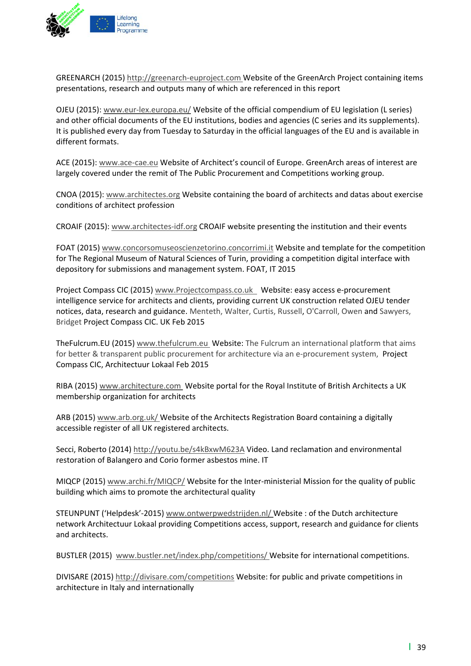

GREENARCH (2015) http://greenarch‐euproject.com Website of the GreenArch Project containing items presentations, research and outputs many of which are referenced in this report

OJEU (2015): www.eur‐lex.europa.eu/ Website of the official compendium of EU legislation (L series) and other official documents of the EU institutions, bodies and agencies (C series and its supplements). It is published every day from Tuesday to Saturday in the official languages of the EU and is available in different formats.

ACE (2015): www.ace‐cae.eu Website of Architect's council of Europe. GreenArch areas of interest are largely covered under the remit of The Public Procurement and Competitions working group.

CNOA (2015): www.architectes.org Website containing the board of architects and datas about exercise conditions of architect profession

CROAIF (2015): www.architectes‐idf.org CROAIF website presenting the institution and their events

FOAT (2015) www.concorsomuseoscienzetorino.concorrimi.it Website and template for the competition for The Regional Museum of Natural Sciences of Turin, providing a competition digital interface with depository for submissions and management system. FOAT, IT 2015

Project Compass CIC (2015) www.Projectcompass.co.uk Website: easy access e‐procurement intelligence service for architects and clients, providing current UK construction related OJEU tender notices, data, research and guidance. Menteth, Walter, Curtis, Russell, O'Carroll, Owen and Sawyers, Bridget Project Compass CIC. UK Feb 2015

TheFulcrum.EU (2015) www.thefulcrum.eu Website: The Fulcrum an international platform that aims for better & transparent public procurement for architecture via an e-procurement system, Project Compass CIC, Architectuur Lokaal Feb 2015

RIBA (2015) www.architecture.com Website portal for the Royal Institute of British Architects a UK membership organization for architects

ARB (2015) www.arb.org.uk/ Website of the Architects Registration Board containing a digitally accessible register of all UK registered architects.

Secci, Roberto (2014) http://youtu.be/s4kBxwM623A Video. Land reclamation and environmental restoration of Balangero and Corio former asbestos mine. IT

MIQCP (2015) www.archi.fr/MIQCP/ Website for the Inter-ministerial Mission for the quality of public building which aims to promote the architectural quality

STEUNPUNT ('Helpdesk'‐2015) www.ontwerpwedstrijden.nl/ Website : of the Dutch architecture network Architectuur Lokaal providing Competitions access, support, research and guidance for clients and architects.

BUSTLER (2015) www.bustler.net/index.php/competitions/ Website for international competitions.

DIVISARE (2015) http://divisare.com/competitions Website: for public and private competitions in architecture in Italy and internationally